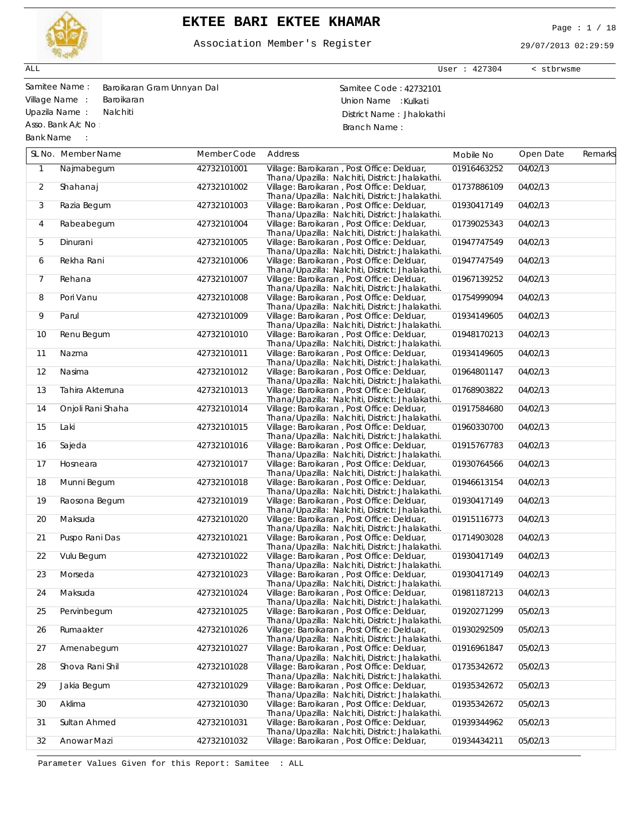

# **EKTEE BARI EKTEE KHAMAR** Page : 1 / 18

User : 427304 < stbrwsme

Association Member's Register

29/07/2013 02:29:59

ALL

Asso. Bank A/c No :

Bank Name :

Samitee Name : Samitee Code : 42732101 Baroikaran Gram Unnyan Dal Village Name : Baroikaran **Manual State And Ame : Kulkati** Union Name : Kulkati Upazila Name : Nalchiti **District Name : Nalchiti** District Name : Jhalokathi Branch Name :

|                | SL No. Member Name | Member Code | Address                                                                                        | Mobile No   | Open Date | Remarks |
|----------------|--------------------|-------------|------------------------------------------------------------------------------------------------|-------------|-----------|---------|
| $\mathbf{1}$   | Najmabegum         | 42732101001 | Village: Baroikaran, Post Office: Delduar,<br>Thana/ Upazilla: Nalchiti, District: Jhalakathi. | 01916463252 | 04/02/13  |         |
| $\overline{2}$ | Shahanaj           | 42732101002 | Village: Baroikaran, Post Office: Delduar,<br>Thana/ Upazilla: Nalchiti, District: Jhalakathi. | 01737886109 | 04/02/13  |         |
| 3              | Razia Begum        | 42732101003 | Village: Baroikaran, Post Office: Delduar,<br>Thana/ Upazilla: Nalchiti, District: Jhalakathi. | 01930417149 | 04/02/13  |         |
| 4              | Rabeabegum         | 42732101004 | Village: Baroikaran, Post Office: Delduar,<br>Thana/ Upazilla: Nalchiti, District: Jhalakathi. | 01739025343 | 04/02/13  |         |
| 5              | Dinurani           | 42732101005 | Village: Baroikaran, Post Office: Delduar,<br>Thana/ Upazilla: Nalchiti, District: Jhalakathi. | 01947747549 | 04/02/13  |         |
| 6              | Rekha Rani         | 42732101006 | Village: Baroikaran, Post Office: Delduar,<br>Thana/ Upazilla: Nalchiti, District: Jhalakathi. | 01947747549 | 04/02/13  |         |
| $\overline{7}$ | Rehana             | 42732101007 | Village: Baroikaran, Post Office: Delduar,<br>Thana/ Upazilla: Nalchiti, District: Jhalakathi. | 01967139252 | 04/02/13  |         |
| 8              | Pori Vanu          | 42732101008 | Village: Baroikaran, Post Office: Delduar,<br>Thana/ Upazilla: Nalchiti, District: Jhalakathi. | 01754999094 | 04/02/13  |         |
| 9              | Parul              | 42732101009 | Village: Baroikaran, Post Office: Delduar,<br>Thana/ Upazilla: Nalchiti, District: Jhalakathi. | 01934149605 | 04/02/13  |         |
| 10             | Renu Begum         | 42732101010 | Village: Baroikaran, Post Office: Delduar,<br>Thana/ Upazilla: Nalchiti, District: Jhalakathi. | 01948170213 | 04/02/13  |         |
| 11             | Nazma              | 42732101011 | Village: Baroikaran, Post Office: Delduar,<br>Thana/ Upazilla: Nalchiti, District: Jhalakathi. | 01934149605 | 04/02/13  |         |
| 12             | Nasima             | 42732101012 | Village: Baroikaran, Post Office: Delduar,<br>Thana/ Upazilla: Nalchiti, District: Jhalakathi. | 01964801147 | 04/02/13  |         |
| 13             | Tahira Akterruna   | 42732101013 | Village: Baroikaran, Post Office: Delduar,<br>Thana/ Upazilla: Nalchiti, District: Jhalakathi. | 01768903822 | 04/02/13  |         |
| 14             | Onjoli Rani Shaha  | 42732101014 | Village: Baroikaran, Post Office: Delduar,<br>Thana/ Upazilla: Nalchiti, District: Jhalakathi. | 01917584680 | 04/02/13  |         |
| 15             | Laki               | 42732101015 | Village: Baroikaran, Post Office: Delduar,<br>Thana/ Upazilla: Nalchiti, District: Jhalakathi. | 01960330700 | 04/02/13  |         |
| 16             | Sajeda             | 42732101016 | Village: Baroikaran, Post Office: Delduar,<br>Thana/ Upazilla: Nalchiti, District: Jhalakathi. | 01915767783 | 04/02/13  |         |
| 17             | Hosneara           | 42732101017 | Village: Baroikaran, Post Office: Delduar,<br>Thana/ Upazilla: Nalchiti, District: Jhalakathi. | 01930764566 | 04/02/13  |         |
| 18             | Munni Begum        | 42732101018 | Village: Baroikaran, Post Office: Delduar,<br>Thana/ Upazilla: Nalchiti, District: Jhalakathi. | 01946613154 | 04/02/13  |         |
| 19             | Raosona Begum      | 42732101019 | Village: Baroikaran, Post Office: Delduar,<br>Thana/ Upazilla: Nalchiti, District: Jhalakathi. | 01930417149 | 04/02/13  |         |
| 20             | Maksuda            | 42732101020 | Village: Baroikaran, Post Office: Delduar,<br>Thana/ Upazilla: Nalchiti, District: Jhalakathi. | 01915116773 | 04/02/13  |         |
| 21             | Puspo Rani Das     | 42732101021 | Village: Baroikaran, Post Office: Delduar,<br>Thana/ Upazilla: Nalchiti, District: Jhalakathi. | 01714903028 | 04/02/13  |         |
| 22             | Vulu Begum         | 42732101022 | Village: Baroikaran, Post Office: Delduar,<br>Thana/ Upazilla: Nalchiti, District: Jhalakathi. | 01930417149 | 04/02/13  |         |
| 23             | Morseda            | 42732101023 | Village: Baroikaran, Post Office: Delduar,<br>Thana/ Upazilla: Nalchiti, District: Jhalakathi. | 01930417149 | 04/02/13  |         |
| 24             | Maksuda            | 42732101024 | Village: Baroikaran, Post Office: Delduar,<br>Thana/ Upazilla: Nalchiti, District: Jhalakathi. | 01981187213 | 04/02/13  |         |
| 25             | Pervinbegum        | 42732101025 | Village: Baroikaran, Post Office: Delduar,<br>Thana/ Upazilla: Nalchiti, District: Jhalakathi. | 01920271299 | 05/02/13  |         |
| 26             | Rumaakter          | 42732101026 | Village: Baroikaran, Post Office: Delduar,<br>Thana/ Upazilla: Nalchiti, District: Jhalakathi. | 01930292509 | 05/02/13  |         |
| 27             | Amenabegum         | 42732101027 | Village: Baroikaran, Post Office: Delduar,<br>Thana/ Upazilla: Nalchiti, District: Jhalakathi. | 01916961847 | 05/02/13  |         |
| 28             | Shova Rani Shil    | 42732101028 | Village: Baroikaran, Post Office: Delduar,<br>Thana/ Upazilla: Nalchiti, District: Jhalakathi. | 01735342672 | 05/02/13  |         |
| 29             | Jakia Begum        | 42732101029 | Village: Baroikaran, Post Office: Delduar,<br>Thana/ Upazilla: Nalchiti, District: Jhalakathi. | 01935342672 | 05/02/13  |         |
| 30             | Aklima             | 42732101030 | Village: Baroikaran, Post Office: Delduar,<br>Thana/ Upazilla: Nalchiti, District: Jhalakathi. | 01935342672 | 05/02/13  |         |
| 31             | Sultan Ahmed       | 42732101031 | Village: Baroikaran, Post Office: Delduar,<br>Thana/ Upazilla: Nalchiti, District: Jhalakathi. | 01939344962 | 05/02/13  |         |
| 32             | Anowar Mazi        | 42732101032 | Village: Baroikaran, Post Office: Delduar,                                                     | 01934434211 | 05/02/13  |         |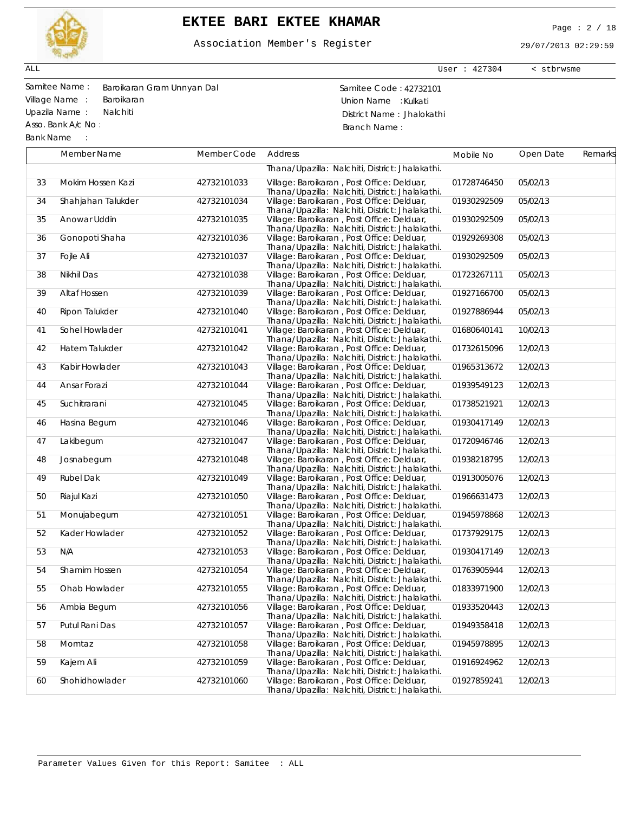

# **EKTEE BARI EKTEE KHAMAR** Page : 2 / 18

Association Member's Register

29/07/2013 02:29:59

User : 427304 < stbrwsme

ALL

Asso. Bank A/c No :

Bank Name :

Samitee Name : Samitee Code : 42732101 Baroikaran Gram Unnyan Dal Village Name : Baroikaran **Manual State And Ame : Kulkati** Union Name : Kulkati Upazila Name : Nalchiti **District Name : Nalchiti** District Name : Jhalokathi Branch Name :

|          | Member Name                    | Member Code                | Address                                                                                                                                      | Mobile No                  | Open Date            | Remarks |
|----------|--------------------------------|----------------------------|----------------------------------------------------------------------------------------------------------------------------------------------|----------------------------|----------------------|---------|
|          |                                |                            | Thana/ Upazilla: Nalchiti, District: Jhalakathi.                                                                                             |                            |                      |         |
| 33       | Mokim Hossen Kazi              | 42732101033                | Village: Baroikaran, Post Office: Delduar,<br>Thana/ Upazilla: Nalchiti, District: Jhalakathi.                                               | 01728746450                | 05/02/13             |         |
| 34       | Shahjahan Talukder             | 42732101034                | Village: Baroikaran, Post Office: Delduar,<br>Thana/ Upazilla: Nalchiti, District: Jhalakathi.                                               | 01930292509                | 05/02/13             |         |
| 35       | Anowar Uddin                   | 42732101035                | Village: Baroikaran, Post Office: Delduar,<br>Thana/ Upazilla: Nalchiti, District: Jhalakathi.                                               | 01930292509                | 05/02/13             |         |
| 36       | Gonopoti Shaha                 | 42732101036                | Village: Baroikaran, Post Office: Delduar,<br>Thana/ Upazilla: Nalchiti, District: Jhalakathi.                                               | 01929269308                | 05/02/13             |         |
| 37       | Fojle Ali                      | 42732101037                | Village: Baroikaran, Post Office: Delduar,<br>Thana/ Upazilla: Nalchiti, District: Jhalakathi.                                               | 01930292509                | 05/02/13             |         |
| 38       | Nikhil Das                     | 42732101038                | Village: Baroikaran, Post Office: Delduar,<br>Thana/ Upazilla: Nalchiti, District: Jhalakathi.                                               | 01723267111                | 05/02/13             |         |
| 39       | Altaf Hossen                   | 42732101039                | Village: Baroikaran, Post Office: Delduar,<br>Thana/ Upazilla: Nalchiti, District: Jhalakathi.                                               | 01927166700                | 05/02/13             |         |
| 40       | Ripon Talukder                 | 42732101040                | Village: Baroikaran, Post Office: Delduar,<br>Thana/ Upazilla: Nalchiti, District: Jhalakathi.                                               | 01927886944                | 05/02/13             |         |
| 41       | Sohel Howlader                 | 42732101041                | Village: Baroikaran, Post Office: Delduar,<br>Thana/ Upazilla: Nalchiti, District: Jhalakathi.                                               | 01680640141                | 10/02/13             |         |
| 42       | Hatem Talukder                 | 42732101042                | Village: Baroikaran, Post Office: Delduar,<br>Thana/ Upazilla: Nalchiti, District: Jhalakathi.                                               | 01732615096                | 12/02/13             |         |
| 43       | Kabir Howlader                 | 42732101043                | Village: Baroikaran, Post Office: Delduar,<br>Thana/ Upazilla: Nalchiti, District: Jhalakathi.                                               | 01965313672                | 12/02/13             |         |
| 44       | Ansar Forazi                   | 42732101044                | Village: Baroikaran, Post Office: Delduar,<br>Thana/ Upazilla: Nalchiti, District: Jhalakathi.                                               | 01939549123                | 12/02/13             |         |
| 45       | Suchitrarani                   | 42732101045                | Village: Baroikaran, Post Office: Delduar,<br>Thana/ Upazilla: Nalchiti, District: Jhalakathi.<br>Village: Baroikaran, Post Office: Delduar, | 01738521921                | 12/02/13             |         |
| 46       | Hasina Begum                   | 42732101046                | Thana/ Upazilla: Nalchiti, District: Jhalakathi.<br>Village: Baroikaran, Post Office: Delduar,                                               | 01930417149                | 12/02/13<br>12/02/13 |         |
| 47       | Lakibegum                      | 42732101047                | Thana/ Upazilla: Nalchiti, District: Jhalakathi.<br>Village: Baroikaran, Post Office: Delduar,                                               | 01720946746<br>01938218795 | 12/02/13             |         |
| 48<br>49 | Josnabegum<br><b>Rubel Dak</b> | 42732101048<br>42732101049 | Thana/ Upazilla: Nalchiti, District: Jhalakathi.                                                                                             | 01913005076                | 12/02/13             |         |
| 50       | Riajul Kazi                    | 42732101050                | Village: Baroikaran, Post Office: Delduar,<br>Thana/ Upazilla: Nalchiti, District: Jhalakathi.<br>Village: Baroikaran, Post Office: Delduar, | 01966631473                | 12/02/13             |         |
|          |                                |                            | Thana/ Upazilla: Nalchiti, District: Jhalakathi.                                                                                             | 01945978868                | 12/02/13             |         |
| 51<br>52 | Monujabegum<br>Kader Howlader  | 42732101051                | Village: Baroikaran, Post Office: Delduar,<br>Thana/ Upazilla: Nalchiti, District: Jhalakathi.<br>Village: Baroikaran, Post Office: Delduar, | 01737929175                | 12/02/13             |         |
| 53       | N/A                            | 42732101052<br>42732101053 | Thana/ Upazilla: Nalchiti, District: Jhalakathi.<br>Village: Baroikaran, Post Office: Delduar,                                               | 01930417149                | 12/02/13             |         |
| 54       | Shamim Hossen                  | 42732101054                | Thana/ Upazilla: Nalchiti, District: Jhalakathi.<br>Village: Baroikaran, Post Office: Delduar,                                               | 01763905944                | 12/02/13             |         |
| 55       | Ohab Howlader                  | 42732101055                | Thana/ Upazilla: Nalchiti, District: Jhalakathi.<br>Village: Baroikaran, Post Office: Delduar,                                               | 01833971900                | 12/02/13             |         |
| 56       | Ambia Begum                    | 42732101056                | Thana/ Upazilla: Nalchiti, District: Jhalakathi.<br>Village: Baroikaran, Post Office: Delduar,                                               | 01933520443                | 12/02/13             |         |
| 57       | Putul Rani Das                 | 42732101057                | Thana/ Upazilla: Nalchiti, District: Jhalakathi.<br>Village: Baroikaran, Post Office: Delduar,                                               | 01949358418                | 12/02/13             |         |
| 58       | Momtaz                         | 42732101058                | Thana/ Upazilla: Nalchiti, District: Jhalakathi.<br>Village: Baroikaran, Post Office: Delduar,                                               | 01945978895                | 12/02/13             |         |
| 59       | Kajem Ali                      | 42732101059                | Thana/ Upazilla: Nalchiti, District: Jhalakathi.<br>Village: Baroikaran, Post Office: Delduar,                                               | 01916924962                | 12/02/13             |         |
|          | Shohidhowlader                 |                            | Thana/ Upazilla: Nalchiti, District: Jhalakathi.<br>Village: Baroikaran, Post Office: Delduar,                                               | 01927859241                | 12/02/13             |         |
| 60       |                                | 42732101060                | Thana/ Upazilla: Nalchiti, District: Jhalakathi.                                                                                             |                            |                      |         |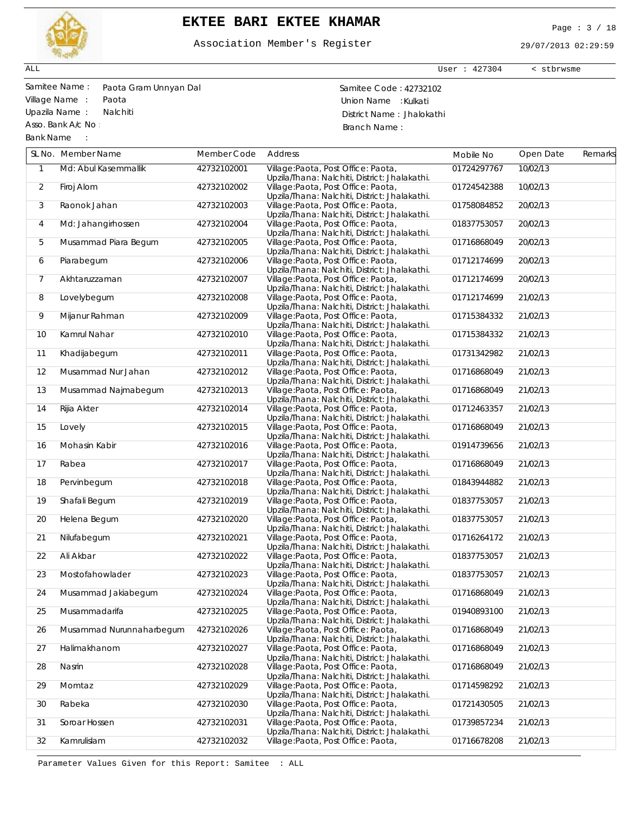

# **EKTEE BARI EKTEE KHAMAR** Page : 3 / 18

Association Member's Register

29/07/2013 02:29:59

User : 427304 < stbrwsme

ALL

Asso. Bank A/c No :

Bank Name :

Samitee Name : Samitee Code : 42732102 Paota Gram Unnyan Dal Village Name : Paota **Village Name : Paota** Upazila Name : Nalchiti **District Name : Nalchiti** District Name : Jhalokathi Branch Name :

|                | SL No. Member Name       | Member Code | Address                                                                              | Mobile No   | Open Date | Remarks |
|----------------|--------------------------|-------------|--------------------------------------------------------------------------------------|-------------|-----------|---------|
| $\mathbf{1}$   | Md: Abul Kasemmallik     | 42732102001 | Village: Paota, Post Office: Paota,<br>Upzila/Thana: Nalchiti, District: Jhalakathi. | 01724297767 | 10/02/13  |         |
| $\overline{2}$ | Firoj Alom               | 42732102002 | Village: Paota, Post Office: Paota,<br>Upzila/Thana: Nalchiti, District: Jhalakathi. | 01724542388 | 10/02/13  |         |
| 3              | Raonok Jahan             | 42732102003 | Village:Paota, Post Office: Paota,<br>Upzila/Thana: Nalchiti, District: Jhalakathi.  | 01758084852 | 20/02/13  |         |
| 4              | Md: Jahangirhossen       | 42732102004 | Village: Paota, Post Office: Paota,<br>Upzila/Thana: Nalchiti, District: Jhalakathi. | 01837753057 | 20/02/13  |         |
| 5              | Musammad Piara Begum     | 42732102005 | Village: Paota, Post Office: Paota,<br>Upzila/Thana: Nalchiti, District: Jhalakathi. | 01716868049 | 20/02/13  |         |
| 6              | Piarabegum               | 42732102006 | Village: Paota, Post Office: Paota,<br>Upzila/Thana: Nalchiti, District: Jhalakathi. | 01712174699 | 20/02/13  |         |
| $\overline{7}$ | Akhtaruzzaman            | 42732102007 | Village: Paota, Post Office: Paota,<br>Upzila/Thana: Nalchiti, District: Jhalakathi. | 01712174699 | 20/02/13  |         |
| 8              | Lovelybegum              | 42732102008 | Village: Paota, Post Office: Paota,<br>Upzila/Thana: Nalchiti, District: Jhalakathi. | 01712174699 | 21/02/13  |         |
| 9              | Mijanur Rahman           | 42732102009 | Village: Paota, Post Office: Paota,<br>Upzila/Thana: Nalchiti, District: Jhalakathi. | 01715384332 | 21/02/13  |         |
| 10             | Kamrul Nahar             | 42732102010 | Village: Paota, Post Office: Paota,<br>Upzila/Thana: Nalchiti, District: Jhalakathi. | 01715384332 | 21/02/13  |         |
| 11             | Khadijabegum             | 42732102011 | Village: Paota, Post Office: Paota,<br>Upzila/Thana: Nalchiti, District: Jhalakathi. | 01731342982 | 21/02/13  |         |
| 12             | Musammad Nur Jahan       | 42732102012 | Village: Paota, Post Office: Paota,<br>Upzila/Thana: Nalchiti, District: Jhalakathi. | 01716868049 | 21/02/13  |         |
| 13             | Musammad Najmabegum      | 42732102013 | Village: Paota, Post Office: Paota,<br>Upzila/Thana: Nalchiti, District: Jhalakathi. | 01716868049 | 21/02/13  |         |
| 14             | Rijia Akter              | 42732102014 | Village: Paota, Post Office: Paota,<br>Upzila/Thana: Nalchiti, District: Jhalakathi. | 01712463357 | 21/02/13  |         |
| 15             | Lovely                   | 42732102015 | Village: Paota, Post Office: Paota,<br>Upzila/Thana: Nalchiti, District: Jhalakathi. | 01716868049 | 21/02/13  |         |
| 16             | Mohasin Kabir            | 42732102016 | Village: Paota, Post Office: Paota,<br>Upzila/Thana: Nalchiti, District: Jhalakathi. | 01914739656 | 21/02/13  |         |
| 17             | Rabea                    | 42732102017 | Village: Paota, Post Office: Paota,<br>Upzila/Thana: Nalchiti, District: Jhalakathi. | 01716868049 | 21/02/13  |         |
| 18             | Pervinbegum              | 42732102018 | Village: Paota, Post Office: Paota,<br>Upzila/Thana: Nalchiti, District: Jhalakathi. | 01843944882 | 21/02/13  |         |
| 19             | Shafali Begum            | 42732102019 | Village: Paota, Post Office: Paota,<br>Upzila/Thana: Nalchiti, District: Jhalakathi. | 01837753057 | 21/02/13  |         |
| 20             | Helena Begum             | 42732102020 | Village: Paota, Post Office: Paota,<br>Upzila/Thana: Nalchiti, District: Jhalakathi. | 01837753057 | 21/02/13  |         |
| 21             | Nilufabegum              | 42732102021 | Village: Paota, Post Office: Paota,<br>Upzila/Thana: Nalchiti, District: Jhalakathi. | 01716264172 | 21/02/13  |         |
| 22             | Ali Akbar                | 42732102022 | Village: Paota, Post Office: Paota,<br>Upzila/Thana: Nalchiti, District: Jhalakathi. | 01837753057 | 21/02/13  |         |
| 23             | Mostofahowlader          | 42732102023 | Village: Paota, Post Office: Paota,<br>Upzila/Thana: Nalchiti, District: Jhalakathi. | 01837753057 | 21/02/13  |         |
| 24             | Musammad Jakiabegum      | 42732102024 | Village: Paota, Post Office: Paota,<br>Upzila/Thana: Nalchiti, District: Jhalakathi. | 01716868049 | 21/02/13  |         |
| 25             | Musammadarifa            | 42732102025 | Village:Paota, Post Office: Paota,<br>Upzila/Thana: Nalchiti, District: Jhalakathi.  | 01940893100 | 21/02/13  |         |
| 26             | Musammad Nurunnaharbegum | 42732102026 | Village: Paota, Post Office: Paota,<br>Upzila/Thana: Nalchiti, District: Jhalakathi. | 01716868049 | 21/02/13  |         |
| 27             | Halimakhanom             | 42732102027 | Village: Paota, Post Office: Paota,<br>Upzila/Thana: Nalchiti, District: Jhalakathi. | 01716868049 | 21/02/13  |         |
| 28             | Nasrin                   | 42732102028 | Village: Paota, Post Office: Paota,<br>Upzila/Thana: Nalchiti, District: Jhalakathi. | 01716868049 | 21/02/13  |         |
| 29             | Momtaz                   | 42732102029 | Village: Paota, Post Office: Paota,<br>Upzila/Thana: Nalchiti, District: Jhalakathi. | 01714598292 | 21/02/13  |         |
| 30             | Rabeka                   | 42732102030 | Village: Paota, Post Office: Paota,<br>Upzila/Thana: Nalchiti, District: Jhalakathi. | 01721430505 | 21/02/13  |         |
| 31             | Soroar Hossen            | 42732102031 | Village: Paota, Post Office: Paota,<br>Upzila/Thana: Nalchiti, District: Jhalakathi. | 01739857234 | 21/02/13  |         |
| 32             | Kamrulislam              | 42732102032 | Village: Paota, Post Office: Paota,                                                  | 01716678208 | 21/02/13  |         |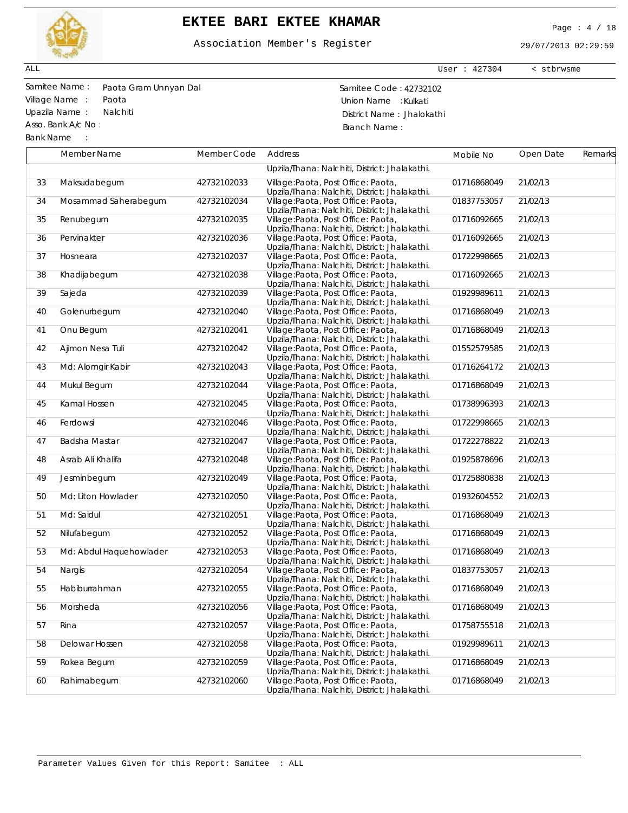

# **EKTEE BARI EKTEE KHAMAR** Page : 4 / 18

Association Member's Register

29/07/2013 02:29:59

User : 427304 < stbrwsme

ALL

 $\Box$ 

Asso. Bank A/c No :

Bank Name :

Samitee Name : Samitee Code : 42732102 Paota Gram Unnyan Dal Village Name : Paota **Disk and American Control Control Control** Union Name : Kulkati Upazila Name : Nalchiti **District Name : Nalchiti** District Name : Jhalokathi Branch Name :

|    | Member Name             | Member Code | Address                                                                              | Mobile No   | Open Date | Remarks |
|----|-------------------------|-------------|--------------------------------------------------------------------------------------|-------------|-----------|---------|
|    |                         |             | Upzila/Thana: Nalchiti, District: Jhalakathi.                                        |             |           |         |
| 33 | Maksudabegum            | 42732102033 | Village: Paota, Post Office: Paota,<br>Upzila/Thana: Nalchiti, District: Jhalakathi. | 01716868049 | 21/02/13  |         |
| 34 | Mosammad Saherabegum    | 42732102034 | Village: Paota, Post Office: Paota,<br>Upzila/Thana: Nalchiti, District: Jhalakathi. | 01837753057 | 21/02/13  |         |
| 35 | Renubegum               | 42732102035 | Village: Paota, Post Office: Paota,<br>Upzila/Thana: Nalchiti, District: Jhalakathi. | 01716092665 | 21/02/13  |         |
| 36 | Pervinakter             | 42732102036 | Village: Paota, Post Office: Paota,<br>Upzila/Thana: Nalchiti, District: Jhalakathi. | 01716092665 | 21/02/13  |         |
| 37 | Hosneara                | 42732102037 | Village: Paota, Post Office: Paota,<br>Upzila/Thana: Nalchiti, District: Jhalakathi. | 01722998665 | 21/02/13  |         |
| 38 | Khadijabegum            | 42732102038 | Village: Paota, Post Office: Paota,<br>Upzila/Thana: Nalchiti, District: Jhalakathi. | 01716092665 | 21/02/13  |         |
| 39 | Sajeda                  | 42732102039 | Village: Paota, Post Office: Paota,<br>Upzila/Thana: Nalchiti, District: Jhalakathi. | 01929989611 | 21/02/13  |         |
| 40 | Golenurbegum            | 42732102040 | Village: Paota, Post Office: Paota,<br>Upzila/Thana: Nalchiti, District: Jhalakathi. | 01716868049 | 21/02/13  |         |
| 41 | Onu Begum               | 42732102041 | Village: Paota, Post Office: Paota,<br>Upzila/Thana: Nalchiti, District: Jhalakathi. | 01716868049 | 21/02/13  |         |
| 42 | Ajimon Nesa Tuli        | 42732102042 | Village: Paota, Post Office: Paota,<br>Upzila/Thana: Nalchiti, District: Jhalakathi. | 01552579585 | 21/02/13  |         |
| 43 | Md: Alomgir Kabir       | 42732102043 | Village: Paota, Post Office: Paota,<br>Upzila/Thana: Nalchiti, District: Jhalakathi. | 01716264172 | 21/02/13  |         |
| 44 | Mukul Begum             | 42732102044 | Village: Paota, Post Office: Paota,<br>Upzila/Thana: Nalchiti, District: Jhalakathi. | 01716868049 | 21/02/13  |         |
| 45 | Kamal Hossen            | 42732102045 | Village: Paota, Post Office: Paota,<br>Upzila/Thana: Nalchiti, District: Jhalakathi. | 01738996393 | 21/02/13  |         |
| 46 | Ferdowsi                | 42732102046 | Village: Paota, Post Office: Paota,<br>Upzila/Thana: Nalchiti, District: Jhalakathi. | 01722998665 | 21/02/13  |         |
| 47 | Badsha Mastar           | 42732102047 | Village: Paota, Post Office: Paota,<br>Upzila/Thana: Nalchiti, District: Jhalakathi. | 01722278822 | 21/02/13  |         |
| 48 | Asrab Ali Khalifa       | 42732102048 | Village: Paota, Post Office: Paota,<br>Upzila/Thana: Nalchiti, District: Jhalakathi. | 01925878696 | 21/02/13  |         |
| 49 | Jesminbegum             | 42732102049 | Village: Paota, Post Office: Paota,<br>Upzila/Thana: Nalchiti, District: Jhalakathi. | 01725880838 | 21/02/13  |         |
| 50 | Md: Liton Howlader      | 42732102050 | Village: Paota, Post Office: Paota,<br>Upzila/Thana: Nalchiti, District: Jhalakathi. | 01932604552 | 21/02/13  |         |
| 51 | Md: Saidul              | 42732102051 | Village: Paota, Post Office: Paota,<br>Upzila/Thana: Nalchiti, District: Jhalakathi. | 01716868049 | 21/02/13  |         |
| 52 | Nilufabegum             | 42732102052 | Village: Paota, Post Office: Paota,<br>Upzila/Thana: Nalchiti, District: Jhalakathi. | 01716868049 | 21/02/13  |         |
| 53 | Md: Abdul Haquehowlader | 42732102053 | Village: Paota, Post Office: Paota,<br>Upzila/Thana: Nalchiti, District: Jhalakathi. | 01716868049 | 21/02/13  |         |
| 54 | Nargis                  | 42732102054 | Village: Paota, Post Office: Paota,<br>Upzila/Thana: Nalchiti, District: Jhalakathi. | 01837753057 | 21/02/13  |         |
| 55 | Habiburrahman           | 42732102055 | Village: Paota, Post Office: Paota,<br>Upzila/Thana: Nalchiti, District: Jhalakathi. | 01716868049 | 21/02/13  |         |
| 56 | Morsheda                | 42732102056 | Village: Paota, Post Office: Paota,<br>Upzila/Thana: Nalchiti, District: Jhalakathi. | 01716868049 | 21/02/13  |         |
| 57 | Rina                    | 42732102057 | Village: Paota, Post Office: Paota,<br>Upzila/Thana: Nalchiti, District: Jhalakathi. | 01758755518 | 21/02/13  |         |
| 58 | Delowar Hossen          | 42732102058 | Village: Paota, Post Office: Paota,<br>Upzila/Thana: Nalchiti, District: Jhalakathi. | 01929989611 | 21/02/13  |         |
| 59 | Rokea Begum             | 42732102059 | Village: Paota, Post Office: Paota,<br>Upzila/Thana: Nalchiti, District: Jhalakathi. | 01716868049 | 21/02/13  |         |
| 60 | Rahimabegum             | 42732102060 | Village: Paota, Post Office: Paota,<br>Upzila/Thana: Nalchiti, District: Jhalakathi. | 01716868049 | 21/02/13  |         |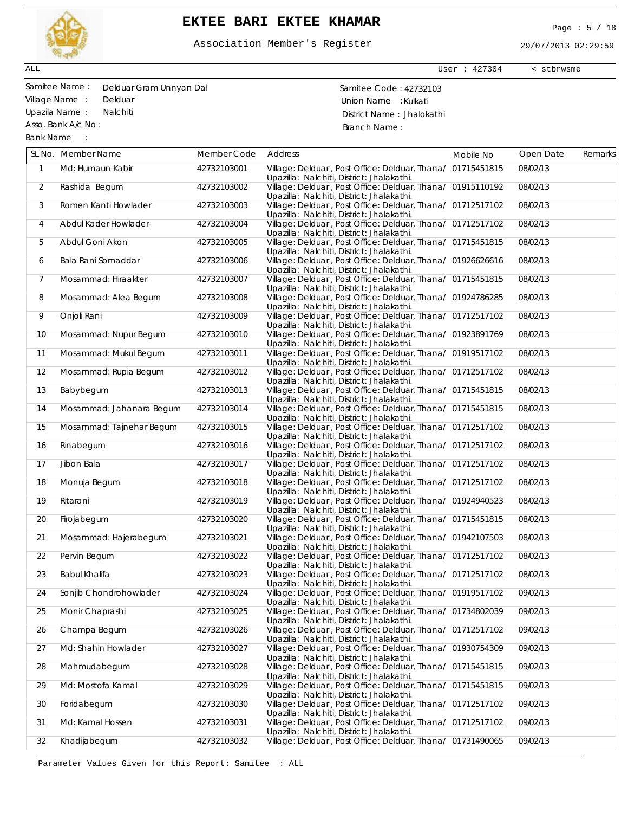

# **EKTEE BARI EKTEE KHAMAR** Page : 5 / 18

Association Member's Register

29/07/2013 02:29:59

User : 427304 < stbrwsme

ALL

Asso. Bank A/c No :

Bank Name :

Samitee Name : Samitee Code : 42732103 Delduar Gram Unnyan Dal Village Name : Delduar **Delamber 1996** Union Name : Kulkati Upazila Name : Nalchiti **District Name : Nalchiti** District Name : Jhalokathi Branch Name :

|                | SL No. Member Name       | Member Code | Address                                                                                                            | Mobile No   | Open Date | Remarks |
|----------------|--------------------------|-------------|--------------------------------------------------------------------------------------------------------------------|-------------|-----------|---------|
| 1              | Md: Humaun Kabir         | 42732103001 | Village: Delduar, Post Office: Delduar, Thanal<br>Upazilla: Nalchiti, District: Jhalakathi.                        | 01715451815 | 08/02/13  |         |
| $\overline{2}$ | Rashida Begum            | 42732103002 | Village: Delduar, Post Office: Delduar, Thana/ 01915110192<br>Upazilla: Nalchiti, District: Jhalakathi.            |             | 08/02/13  |         |
| 3              | Romen Kanti Howlader     | 42732103003 | Village: Delduar, Post Office: Delduar, Thana/ 01712517102<br>Upazilla: Nalchiti, District: Jhalakathi.            |             | 08/02/13  |         |
| 4              | Abdul Kader Howlader     | 42732103004 | Village: Delduar, Post Office: Delduar, Thana/ 01712517102<br>Upazilla: Nalchiti, District: Jhalakathi.            |             | 08/02/13  |         |
| 5              | Abdul Goni Akon          | 42732103005 | Village: Delduar, Post Office: Delduar, Thanal 01715451815<br>Upazilla: Nalchiti, District: Jhalakathi.            |             | 08/02/13  |         |
| 6              | Bala Rani Somaddar       | 42732103006 | Village: Delduar, Post Office: Delduar, Thanal 01926626616<br>Upazilla: Nalchiti, District: Jhalakathi.            |             | 08/02/13  |         |
| 7              | Mosammad: Hiraakter      | 42732103007 | Village: Delduar, Post Office: Delduar, Thanal 01715451815<br>Upazilla: Nalchiti, District: Jhalakathi.            |             | 08/02/13  |         |
| 8              | Mosammad: Alea Begum     | 42732103008 | Village: Delduar, Post Office: Delduar, Thana/ 01924786285<br>Upazilla: Nalchiti, District: Jhalakathi.            |             | 08/02/13  |         |
| 9              | Onjoli Rani              | 42732103009 | Village: Delduar, Post Office: Delduar, Thanal 01712517102<br>Upazilla: Nalchiti, District: Jhalakathi.            |             | 08/02/13  |         |
| 10             | Mosammad: Nupur Begum    | 42732103010 | Village: Delduar, Post Office: Delduar, Thana/ 01923891769<br>Upazilla: Nalchiti, District: Jhalakathi.            |             | 08/02/13  |         |
| 11             | Mosammad: Mukul Begum    | 42732103011 | Village: Delduar, Post Office: Delduar, Thanal 01919517102<br>Upazilla: Nalchiti, District: Jhalakathi.            |             | 08/02/13  |         |
| 12             | Mosammad: Rupia Begum    | 42732103012 | Village: Delduar, Post Office: Delduar, Thana/ 01712517102<br>Upazilla: Nalchiti, District: Jhalakathi.            |             | 08/02/13  |         |
| 13             | Babybegum                | 42732103013 | Village: Delduar, Post Office: Delduar, Thanal 01715451815<br>Upazilla: Nalchiti, District: Jhalakathi.            |             | 08/02/13  |         |
| 14             | Mosammad: Jahanara Begum | 42732103014 | Village: Delduar, Post Office: Delduar, Thana/ 01715451815<br>Upazilla: Nalchiti, District: Jhalakathi.            |             | 08/02/13  |         |
| 15             | Mosammad: Tajnehar Begum | 42732103015 | Village: Delduar, Post Office: Delduar, Thanal 01712517102<br>Upazilla: Nalchiti, District: Jhalakathi.            |             | 08/02/13  |         |
| 16             | Rinabegum                | 42732103016 | Village: Delduar, Post Office: Delduar, Thana/ 01712517102<br>Upazilla: Nalchiti, District: Jhalakathi.            |             | 08/02/13  |         |
| 17             | Jibon Bala               | 42732103017 | Village: Delduar, Post Office: Delduar, Thanal 01712517102<br>Upazilla: Nalchiti, District: Jhalakathi.            |             | 08/02/13  |         |
| 18             | Monuja Begum             | 42732103018 | Village: Delduar, Post Office: Delduar, Thana/ 01712517102<br>Upazilla: Nalchiti, District: Jhalakathi.            |             | 08/02/13  |         |
| 19             | Ritarani                 | 42732103019 | Village: Delduar, Post Office: Delduar, Thanal 01924940523<br>Upazilla: Nalchiti, District: Jhalakathi.            |             | 08/02/13  |         |
| 20             | Firojabegum              | 42732103020 | Village: Delduar, Post Office: Delduar, Thana/ 01715451815<br>Upazilla: Nalchiti, District: Jhalakathi.            |             | 08/02/13  |         |
| 21             | Mosammad: Hajerabegum    | 42732103021 | Village: Delduar, Post Office: Delduar, Thanal 01942107503<br>Upazilla: Nalchiti, District: Jhalakathi.            |             | 08/02/13  |         |
| 22             | Pervin Begum             | 42732103022 | Village: Delduar, Post Office: Delduar, Thana/ 01712517102<br>Upazilla: Nalchiti, District: Jhalakathi.            |             | 08/02/13  |         |
| 23             | <b>Babul Khalifa</b>     | 42732103023 | Village: Delduar, Post Office: Delduar, Thana/ 01712517102<br>Upazilla: Nalchiti, District: Jhalakathi.            |             | 08/02/13  |         |
| 24             | Sonjib Chondrohowlader   | 42732103024 | Village: Delduar, Post Office: Delduar, Thanal 01919517102<br>Upazilla: Nalchiti, District: Jhalakathi.            |             | 09/02/13  |         |
| 25             | Monir Chaprashi          | 42732103025 | Village: Delduar, Post Office: Delduar, Thana/ 01734802039   09/02/13<br>Upazilla: Nalchiti, District: Jhalakathi. |             |           |         |
| 26             | Champa Begum             | 42732103026 | Village: Delduar, Post Office: Delduar, Thana/ 01712517102<br>Upazilla: Nalchiti, District: Jhalakathi.            |             | 09/02/13  |         |
| 27             | Md: Shahin Howlader      | 42732103027 | Village: Delduar, Post Office: Delduar, Thanal<br>Upazilla: Nalchiti, District: Jhalakathi.                        | 01930754309 | 09/02/13  |         |
| 28             | Mahmudabegum             | 42732103028 | Village: Delduar, Post Office: Delduar, Thanal 01715451815<br>Upazilla: Nalchiti, District: Jhalakathi.            |             | 09/02/13  |         |
| 29             | Md: Mostofa Kamal        | 42732103029 | Village: Delduar, Post Office: Delduar, Thanal<br>Upazilla: Nalchiti, District: Jhalakathi.                        | 01715451815 | 09/02/13  |         |
| 30             | Foridabegum              | 42732103030 | Village: Delduar, Post Office: Delduar, Thanal<br>Upazilla: Nalchiti, District: Jhalakathi.                        | 01712517102 | 09/02/13  |         |
| 31             | Md: Kamal Hossen         | 42732103031 | Village: Delduar, Post Office: Delduar, Thanal<br>Upazilla: Nalchiti, District: Jhalakathi.                        | 01712517102 | 09/02/13  |         |
| 32             | Khadijabegum             | 42732103032 | Village: Delduar, Post Office: Delduar, Thanal 01731490065                                                         |             | 09/02/13  |         |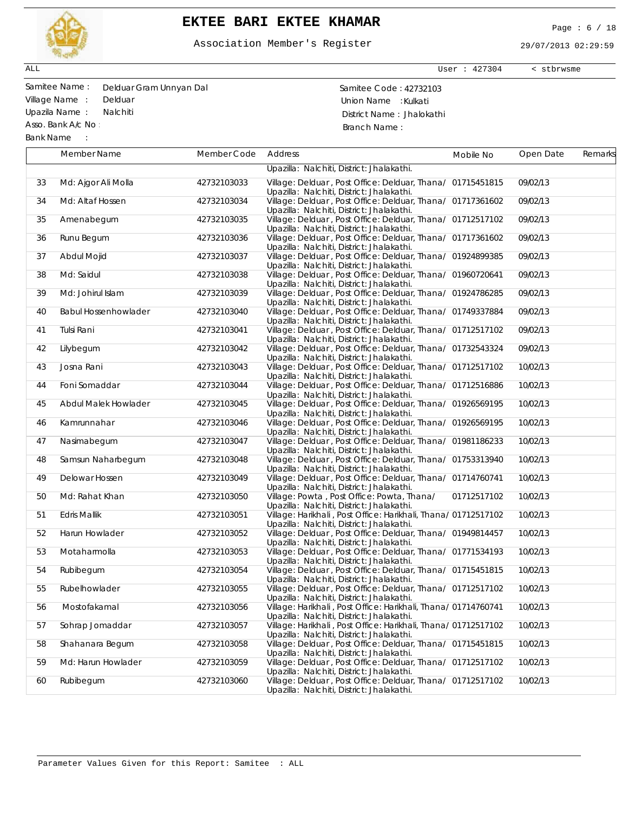

# **EKTEE BARI EKTEE KHAMAR** Page : 6 / 18

Association Member's Register

29/07/2013 02:29:59

User : 427304 < stbrwsme

ALL

Asso. Bank A/c No :

Bank Name :

Samitee Name : Samitee Code : 42732103 Delduar Gram Unnyan Dal Village Name : Delduar **Delamber 1996** Union Name : Kulkati Upazila Name : Nalchiti **District Name : Nalchiti** District Name : Jhalokathi Branch Name :

|          | Member Name                    | Member Code                | Address                                                                                                                                                               | Mobile No   | Open Date            | Remarks |
|----------|--------------------------------|----------------------------|-----------------------------------------------------------------------------------------------------------------------------------------------------------------------|-------------|----------------------|---------|
|          |                                |                            | Upazilla: Nalchiti, District: Jhalakathi.                                                                                                                             |             |                      |         |
| 33       | Md: Ajgor Ali Molla            | 42732103033                | Village: Delduar, Post Office: Delduar, Thanal 01715451815<br>Upazilla: Nalchiti, District: Jhalakathi.                                                               |             | 09/02/13             |         |
| 34       | Md: Altaf Hossen               | 42732103034                | Village: Delduar, Post Office: Delduar, Thanal 01717361602<br>Upazilla: Nalchiti, District: Jhalakathi.                                                               |             | 09/02/13             |         |
| 35       | Amenabegum                     | 42732103035                | Village: Delduar, Post Office: Delduar, Thanal 01712517102<br>Upazilla: Nalchiti, District: Jhalakathi.                                                               |             | 09/02/13             |         |
| 36       | Runu Begum                     | 42732103036                | Village: Delduar, Post Office: Delduar, Thanal 01717361602<br>Upazilla: Nalchiti, District: Jhalakathi.                                                               |             | 09/02/13             |         |
| 37       | Abdul Mojid                    | 42732103037                | Village: Delduar, Post Office: Delduar, Thanal 01924899385<br>Upazilla: Nalchiti, District: Jhalakathi.                                                               |             | 09/02/13             |         |
| 38       | Md: Saidul                     | 42732103038                | Village: Delduar, Post Office: Delduar, Thanal 01960720641<br>Upazilla: Nalchiti, District: Jhalakathi.                                                               |             | 09/02/13             |         |
| 39       | Md: Johirul Islam              | 42732103039                | Village: Delduar, Post Office: Delduar, Thanal 01924786285<br>Upazilla: Nalchiti, District: Jhalakathi.                                                               |             | 09/02/13             |         |
| 40       | <b>Babul Hossenhowlader</b>    | 42732103040                | Village: Delduar, Post Office: Delduar, Thanal 01749337884<br>Upazilla: Nalchiti, District: Jhalakathi.                                                               |             | 09/02/13             |         |
| 41       | Tulsi Rani                     | 42732103041                | Village: Delduar, Post Office: Delduar, Thanal 01712517102<br>Upazilla: Nalchiti, District: Jhalakathi.                                                               |             | 09/02/13             |         |
| 42       | Lilybegum                      | 42732103042                | Village: Delduar, Post Office: Delduar, Thanal 01732543324<br>Upazilla: Nalchiti, District: Jhalakathi.                                                               |             | 09/02/13             |         |
| 43       | Josna Rani                     | 42732103043                | Village: Delduar, Post Office: Delduar, Thana/ 01712517102<br>Upazilla: Nalchiti, District: Jhalakathi.                                                               |             | 10/02/13             |         |
| 44       | Foni Somaddar                  | 42732103044                | Village: Delduar, Post Office: Delduar, Thana/ 01712516886<br>Upazilla: Nalchiti, District: Jhalakathi.                                                               |             | 10/02/13             |         |
| 45       | Abdul Malek Howlader           | 42732103045                | Village: Delduar, Post Office: Delduar, Thana/ 01926569195<br>Upazilla: Nalchiti, District: Jhalakathi.                                                               |             | 10/02/13             |         |
| 46       | Kamrunnahar                    | 42732103046                | Village: Delduar, Post Office: Delduar, Thana/ 01926569195<br>Upazilla: Nalchiti, District: Jhalakathi.                                                               |             | 10/02/13             |         |
| 47       | Nasimabegum                    | 42732103047                | Village: Delduar, Post Office: Delduar, Thana/ 01981186233<br>Upazilla: Nalchiti, District: Jhalakathi.                                                               |             | 10/02/13             |         |
| 48       | Samsun Naharbegum              | 42732103048                | Village: Delduar, Post Office: Delduar, Thana/ 01753313940<br>Upazilla: Nalchiti, District: Jhalakathi.                                                               |             | 10/02/13             |         |
| 49       | Delowar Hossen                 | 42732103049                | Village: Delduar, Post Office: Delduar, Thana/ 01714760741<br>Upazilla: Nalchiti, District: Jhalakathi.                                                               |             | 10/02/13             |         |
| 50       | Md: Rahat Khan                 | 42732103050                | Village: Powta, Post Office: Powta, Thanal<br>Upazilla: Nalchiti, District: Jhalakathi.                                                                               | 01712517102 | 10/02/13             |         |
| 51       | <b>Edris Mallik</b>            | 42732103051                | Village: Harikhali, Post Office: Harikhali, Thana/ 01712517102<br>Upazilla: Nalchiti, District: Jhalakathi.                                                           |             | 10/02/13             |         |
| 52<br>53 | Harun Howlader<br>Motaharmolla | 42732103052                | Village: Delduar, Post Office: Delduar, Thana/ 01949814457<br>Upazilla: Nalchiti, District: Jhalakathi.<br>Village: Delduar, Post Office: Delduar, Thana/ 01771534193 |             | 10/02/13<br>10/02/13 |         |
|          |                                | 42732103053                | Upazilla: Nalchiti, District: Jhalakathi.                                                                                                                             |             | 10/02/13             |         |
| 54<br>55 | Rubibegum<br>Rubelhowlader     | 42732103054<br>42732103055 | Village: Delduar, Post Office: Delduar, Thana/ 01715451815<br>Upazilla: Nalchiti, District: Jhalakathi.<br>Village: Delduar, Post Office: Delduar, Thanal 01712517102 |             | 10/02/13             |         |
| 56       | Mostofakamal                   | 42732103056                | Upazilla: Nalchiti, District: Jhalakathi.<br>Village: Harikhali, Post Office: Harikhali, Thana/ 01714760741                                                           |             | 10/02/13             |         |
| 57       | Sohrap Jomaddar                |                            | Upazilla: Nalchiti, District: Jhalakathi.<br>Village: Harikhali, Post Office: Harikhali, Thana/ 01712517102                                                           |             | 10/02/13             |         |
|          |                                | 42732103057                | Upazilla: Nalchiti, District: Jhalakathi.                                                                                                                             |             |                      |         |
| 58       | Shahanara Begum                | 42732103058                | Village: Delduar, Post Office: Delduar, Thana/ 01715451815<br>Upazilla: Nalchiti, District: Jhalakathi.                                                               |             | 10/02/13             |         |
| 59       | Md: Harun Howlader             | 42732103059                | Village: Delduar, Post Office: Delduar, Thana/ 01712517102<br>Upazilla: Nalchiti, District: Jhalakathi.                                                               |             | 10/02/13             |         |
| 60       | Rubibegum                      | 42732103060                | Village: Delduar, Post Office: Delduar, Thana/ 01712517102<br>Upazilla: Nalchiti, District: Jhalakathi.                                                               |             | 10/02/13             |         |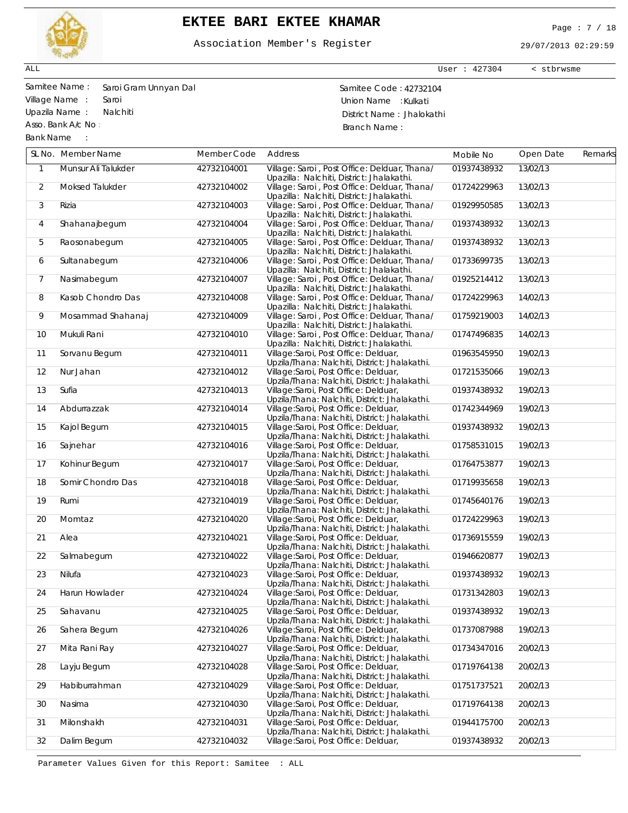

# **EKTEE BARI EKTEE KHAMAR** Page : 7 / 18

Association Member's Register

29/07/2013 02:29:59

User : 427304 < stbrwsme

ALL

Saroi Gram Unnyan Dal

Asso. Bank A/c No :

Bank Name :

Samitee Name : Saroi Gram Unnyan Dal<br>
Village Name : Saroi (Saroi Annyan Dal Nillage Name : Kulkati Aliage Name : Kulkati Aliage Name : Kulkati Ali Village Name : Kulkati Name : Kulkati Name : Kulkati Name : Kulkati Name : Kulkati Name : Kulkati Name : Kulkati Name : Kulkati Name : Kulkati Name : Kulkati Name : Kulkati Name : Kulkati Name : Kulkati Name : Kulkati Name Upazila Name : Nalchiti **District Name : Nalchiti** District Name : Jhalokathi Branch Name :

|                | SL No. Member Name     | Member Code | Address                                                                                   | Mobile No   | Open Date | Remarks |
|----------------|------------------------|-------------|-------------------------------------------------------------------------------------------|-------------|-----------|---------|
| $\mathbf{1}$   | Munsur Ali Talukder    | 42732104001 | Village: Saroi, Post Office: Delduar, Thanal<br>Upazilla: Nalchiti, District: Jhalakathi. | 01937438932 | 13/02/13  |         |
| $\overline{2}$ | <b>Moksed Talukder</b> | 42732104002 | Village: Saroi, Post Office: Delduar, Thanal<br>Upazilla: Nalchiti, District: Jhalakathi. | 01724229963 | 13/02/13  |         |
| 3              | Rizia                  | 42732104003 | Village: Saroi, Post Office: Delduar, Thanal<br>Upazilla: Nalchiti, District: Jhalakathi. | 01929950585 | 13/02/13  |         |
| 4              | Shahanajbegum          | 42732104004 | Village: Saroi, Post Office: Delduar, Thanal<br>Upazilla: Nalchiti, District: Jhalakathi. | 01937438932 | 13/02/13  |         |
| 5              | Raosonabegum           | 42732104005 | Village: Saroi, Post Office: Delduar, Thanal<br>Upazilla: Nalchiti, District: Jhalakathi. | 01937438932 | 13/02/13  |         |
| 6              | Sultanabegum           | 42732104006 | Village: Saroi, Post Office: Delduar, Thanal<br>Upazilla: Nalchiti, District: Jhalakathi. | 01733699735 | 13/02/13  |         |
| 7              | Nasimabegum            | 42732104007 | Village: Saroi, Post Office: Delduar, Thanal<br>Upazilla: Nalchiti, District: Jhalakathi. | 01925214412 | 13/02/13  |         |
| 8              | Kasob Chondro Das      | 42732104008 | Village: Saroi, Post Office: Delduar, Thanal<br>Upazilla: Nalchiti, District: Jhalakathi. | 01724229963 | 14/02/13  |         |
| 9              | Mosammad Shahanaj      | 42732104009 | Village: Saroi, Post Office: Delduar, Thanal<br>Upazilla: Nalchiti, District: Jhalakathi. | 01759219003 | 14/02/13  |         |
| 10             | Mukuli Rani            | 42732104010 | Village: Saroi, Post Office: Delduar, Thanal<br>Upazilla: Nalchiti, District: Jhalakathi. | 01747496835 | 14/02/13  |         |
| 11             | Sorvanu Begum          | 42732104011 | Village:Saroi, Post Office: Delduar,<br>Upzila/Thana: Nalchiti, District: Jhalakathi.     | 01963545950 | 19/02/13  |         |
| 12             | Nur Jahan              | 42732104012 | Village:Saroi, Post Office: Delduar,<br>Upzila/Thana: Nalchiti, District: Jhalakathi.     | 01721535066 | 19/02/13  |         |
| 13             | Sufia                  | 42732104013 | Village:Saroi, Post Office: Delduar,<br>Upzila/Thana: Nalchiti, District: Jhalakathi.     | 01937438932 | 19/02/13  |         |
| 14             | Abdurrazzak            | 42732104014 | Village:Saroi, Post Office: Delduar,<br>Upzila/Thana: Nalchiti, District: Jhalakathi.     | 01742344969 | 19/02/13  |         |
| 15             | Kajol Begum            | 42732104015 | Village:Saroi, Post Office: Delduar,<br>Upzila/Thana: Nalchiti, District: Jhalakathi.     | 01937438932 | 19/02/13  |         |
| 16             | Sajnehar               | 42732104016 | Village:Saroi, Post Office: Delduar,<br>Upzila/Thana: Nalchiti, District: Jhalakathi.     | 01758531015 | 19/02/13  |         |
| 17             | Kohinur Begum          | 42732104017 | Village:Saroi, Post Office: Delduar,<br>Upzila/Thana: Nalchiti, District: Jhalakathi.     | 01764753877 | 19/02/13  |         |
| 18             | Somir Chondro Das      | 42732104018 | Village:Saroi, Post Office: Delduar,<br>Upzila/Thana: Nalchiti, District: Jhalakathi.     | 01719935658 | 19/02/13  |         |
| 19             | Rumi                   | 42732104019 | Village:Saroi, Post Office: Delduar,<br>Upzila/Thana: Nalchiti, District: Jhalakathi.     | 01745640176 | 19/02/13  |         |
| 20             | Momtaz                 | 42732104020 | Village:Saroi, Post Office: Delduar,<br>Upzila/Thana: Nalchiti, District: Jhalakathi.     | 01724229963 | 19/02/13  |         |
| 21             | Alea                   | 42732104021 | Village:Saroi, Post Office: Delduar,<br>Upzila/Thana: Nalchiti, District: Jhalakathi.     | 01736915559 | 19/02/13  |         |
| 22             | Salmabegum             | 42732104022 | Village:Saroi, Post Office: Delduar,<br>Upzila/Thana: Nalchiti, District: Jhalakathi.     | 01946620877 | 19/02/13  |         |
| 23             | Nilufa                 | 42732104023 | Village:Saroi, Post Office: Delduar,<br>Upzila/Thana: Nalchiti, District: Jhalakathi.     | 01937438932 | 19/02/13  |         |
| 24             | Harun Howlader         | 42732104024 | Village:Saroi, Post Office: Delduar,<br>Upzila/Thana: Nalchiti, District: Jhalakathi.     | 01731342803 | 19/02/13  |         |
| 25             | Sahavanu               | 42732104025 | Village:Saroi, Post Office: Delduar,<br>Upzila/Thana: Nalchiti, District: Jhalakathi.     | 01937438932 | 19/02/13  |         |
| 26             | Sahera Begum           | 42732104026 | Village:Saroi, Post Office: Delduar,<br>Upzila/Thana: Nalchiti, District: Jhalakathi.     | 01737087988 | 19/02/13  |         |
| 27             | Mita Rani Ray          | 42732104027 | Village:Saroi, Post Office: Delduar,<br>Upzila/Thana: Nalchiti, District: Jhalakathi.     | 01734347016 | 20/02/13  |         |
| 28             | Layju Begum            | 42732104028 | Village:Saroi, Post Office: Delduar,<br>Upzila/Thana: Nalchiti, District: Jhalakathi.     | 01719764138 | 20/02/13  |         |
| 29             | Habiburrahman          | 42732104029 | Village:Saroi, Post Office: Delduar,<br>Upzila/Thana: Nalchiti, District: Jhalakathi.     | 01751737521 | 20/02/13  |         |
| 30             | Nasima                 | 42732104030 | Village:Saroi, Post Office: Delduar,<br>Upzila/Thana: Nalchiti, District: Jhalakathi.     | 01719764138 | 20/02/13  |         |
| 31             | Milonshakh             | 42732104031 | Village:Saroi, Post Office: Delduar,<br>Upzila/Thana: Nalchiti, District: Jhalakathi.     | 01944175700 | 20/02/13  |         |
| 32             | Dalim Begum            | 42732104032 | Village:Saroi, Post Office: Delduar,                                                      | 01937438932 | 20/02/13  |         |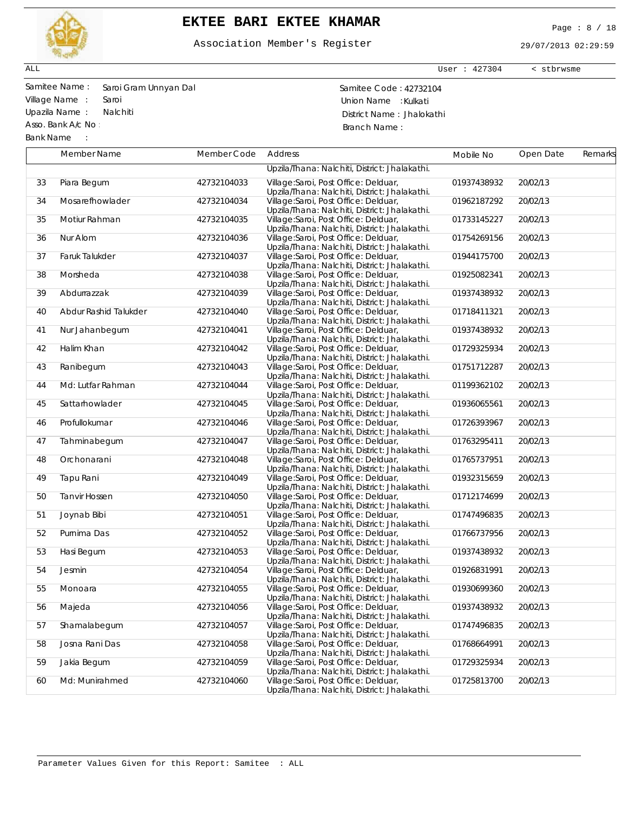

## **EKTEE BARI EKTEE KHAMAR** Page : 8 / 18

Association Member's Register

29/07/2013 02:29:59

User : 427304 < stbrwsme

ALL

 $\Gamma$ 

Asso. Bank A/c No :

Bank Name :

Samitee Name : Samitee Code : 42732104 Saroi Gram Unnyan Dal Village Name : Saroi **Channe : Saroi Annual Accepte Saroi Annual Accepte Accepte Accepte Saroi Accepte Accepte** Union Name : Kulkati Upazila Name : Nalchiti **District Name : Nalchiti** District Name : Jhalokathi Branch Name :

|    | Member Name           | Member Code | Address                                                                               | Mobile No   | Open Date | Remarks |
|----|-----------------------|-------------|---------------------------------------------------------------------------------------|-------------|-----------|---------|
|    |                       |             | Upzila/Thana: Nalchiti, District: Jhalakathi.                                         |             |           |         |
| 33 | Piara Begum           | 42732104033 | Village:Saroi, Post Office: Delduar,<br>Upzila/Thana: Nalchiti, District: Jhalakathi. | 01937438932 | 20/02/13  |         |
| 34 | Mosarefhowlader       | 42732104034 | Village:Saroi, Post Office: Delduar,<br>Upzila/Thana: Nalchiti, District: Jhalakathi. | 01962187292 | 20/02/13  |         |
| 35 | Motiur Rahman         | 42732104035 | Village:Saroi, Post Office: Delduar,<br>Upzila/Thana: Nalchiti, District: Jhalakathi. | 01733145227 | 20/02/13  |         |
| 36 | Nur Alom              | 42732104036 | Village:Saroi, Post Office: Delduar,<br>Upzila/Thana: Nalchiti, District: Jhalakathi. | 01754269156 | 20/02/13  |         |
| 37 | Faruk Talukder        | 42732104037 | Village:Saroi, Post Office: Delduar,<br>Upzila/Thana: Nalchiti, District: Jhalakathi. | 01944175700 | 20/02/13  |         |
| 38 | Morsheda              | 42732104038 | Village:Saroi, Post Office: Delduar,<br>Upzila/Thana: Nalchiti, District: Jhalakathi. | 01925082341 | 20/02/13  |         |
| 39 | Abdurrazzak           | 42732104039 | Village:Saroi, Post Office: Delduar,<br>Upzila/Thana: Nalchiti, District: Jhalakathi. | 01937438932 | 20/02/13  |         |
| 40 | Abdur Rashid Talukder | 42732104040 | Village:Saroi, Post Office: Delduar,<br>Upzila/Thana: Nalchiti, District: Jhalakathi. | 01718411321 | 20/02/13  |         |
| 41 | Nur Jahanbegum        | 42732104041 | Village:Saroi, Post Office: Delduar,<br>Upzila/Thana: Nalchiti, District: Jhalakathi. | 01937438932 | 20/02/13  |         |
| 42 | Halim Khan            | 42732104042 | Village:Saroi, Post Office: Delduar,<br>Upzila/Thana: Nalchiti, District: Jhalakathi. | 01729325934 | 20/02/13  |         |
| 43 | Ranibegum             | 42732104043 | Village:Saroi, Post Office: Delduar,<br>Upzila/Thana: Nalchiti, District: Jhalakathi. | 01751712287 | 20/02/13  |         |
| 44 | Md: Lutfar Rahman     | 42732104044 | Village:Saroi, Post Office: Delduar,<br>Upzila/Thana: Nalchiti, District: Jhalakathi. | 01199362102 | 20/02/13  |         |
| 45 | Sattarhowlader        | 42732104045 | Village:Saroi, Post Office: Delduar,<br>Upzila/Thana: Nalchiti, District: Jhalakathi. | 01936065561 | 20/02/13  |         |
| 46 | Profullokumar         | 42732104046 | Village:Saroi, Post Office: Delduar,<br>Upzila/Thana: Nalchiti, District: Jhalakathi. | 01726393967 | 20/02/13  |         |
| 47 | Tahminabegum          | 42732104047 | Village:Saroi, Post Office: Delduar,<br>Upzila/Thana: Nalchiti, District: Jhalakathi. | 01763295411 | 20/02/13  |         |
| 48 | Orchonarani           | 42732104048 | Village:Saroi, Post Office: Delduar,<br>Upzila/Thana: Nalchiti, District: Jhalakathi. | 01765737951 | 20/02/13  |         |
| 49 | Tapu Rani             | 42732104049 | Village:Saroi, Post Office: Delduar,<br>Upzila/Thana: Nalchiti, District: Jhalakathi. | 01932315659 | 20/02/13  |         |
| 50 | <b>Tanvir Hossen</b>  | 42732104050 | Village:Saroi, Post Office: Delduar,<br>Upzila/Thana: Nalchiti, District: Jhalakathi. | 01712174699 | 20/02/13  |         |
| 51 | Joynab Bibi           | 42732104051 | Village:Saroi, Post Office: Delduar,<br>Upzila/Thana: Nalchiti, District: Jhalakathi. | 01747496835 | 20/02/13  |         |
| 52 | Purnima Das           | 42732104052 | Village:Saroi, Post Office: Delduar,<br>Upzila/Thana: Nalchiti, District: Jhalakathi. | 01766737956 | 20/02/13  |         |
| 53 | Hasi Begum            | 42732104053 | Village:Saroi, Post Office: Delduar,<br>Upzila/Thana: Nalchiti, District: Jhalakathi. | 01937438932 | 20/02/13  |         |
| 54 | Jesmin                | 42732104054 | Village:Saroi, Post Office: Delduar,<br>Upzila/Thana: Nalchiti, District: Jhalakathi. | 01926831991 | 20/02/13  |         |
| 55 | Monoara               | 42732104055 | Village:Saroi, Post Office: Delduar,<br>Upzila/Thana: Nalchiti, District: Jhalakathi. | 01930699360 | 20/02/13  |         |
| 56 | Majeda                | 42732104056 | Village:Saroi, Post Office: Delduar,<br>Upzila/Thana: Nalchiti, District: Jhalakathi. | 01937438932 | 20/02/13  |         |
| 57 | Shamalabegum          | 42732104057 | Village:Saroi, Post Office: Delduar,<br>Upzila/Thana: Nalchiti, District: Jhalakathi. | 01747496835 | 20/02/13  |         |
| 58 | Josna Rani Das        | 42732104058 | Village:Saroi, Post Office: Delduar,<br>Upzila/Thana: Nalchiti, District: Jhalakathi. | 01768664991 | 20/02/13  |         |
| 59 | Jakia Begum           | 42732104059 | Village:Saroi, Post Office: Delduar,<br>Upzila/Thana: Nalchiti, District: Jhalakathi. | 01729325934 | 20/02/13  |         |
| 60 | Md: Munirahmed        | 42732104060 | Village:Saroi, Post Office: Delduar,<br>Upzila/Thana: Nalchiti, District: Jhalakathi. | 01725813700 | 20/02/13  |         |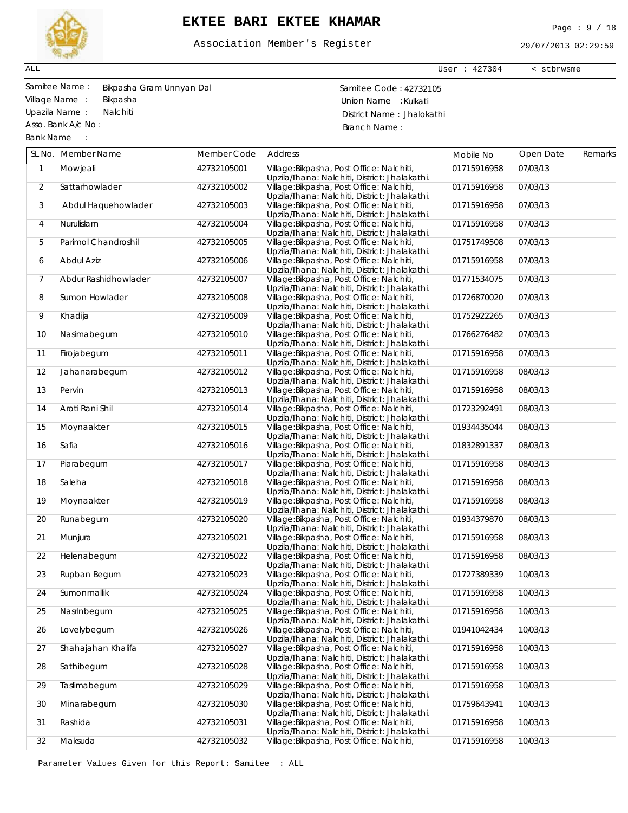

# **EKTEE BARI EKTEE KHAMAR** Page : 9 / 18

Association Member's Register

29/07/2013 02:29:59

User : 427304 < stbrwsme

ALL

Asso. Bank A/c No :

Bank Name :

Samitee Name : Samitee Code : 42732105 Bikpasha Gram Unnyan Dal Village Name : Bikpasha <br>
Union Name : Kulkati Upazila Name : Nalchiti **District Name : Jhalokathi** Branch Name :

|                | SL No. Member Name      | Member Code                | Address                                                                                                                                     | Mobile No                  | Open Date            | Remarks |
|----------------|-------------------------|----------------------------|---------------------------------------------------------------------------------------------------------------------------------------------|----------------------------|----------------------|---------|
| $\mathbf{1}$   | Mowjeali                | 42732105001                | Village: Bikpasha, Post Office: Nalchiti,<br>Upzila/Thana: Nalchiti, District: Jhalakathi.                                                  | 01715916958                | 07/03/13             |         |
| $\overline{2}$ | Sattarhowlader          | 42732105002                | Village: Bikpasha, Post Office: Nalchiti,<br>Upzila/Thana: Nalchiti, District: Jhalakathi.                                                  | 01715916958                | 07/03/13             |         |
| 3              | Abdul Haquehowlader     | 42732105003                | Village: Bikpasha, Post Office: Nalchiti,<br>Upzila/Thana: Nalchiti, District: Jhalakathi.                                                  | 01715916958                | 07/03/13             |         |
| 4              | Nurulislam              | 42732105004                | Village: Bikpasha, Post Office: Nalchiti,<br>Upzila/Thana: Nalchiti, District: Jhalakathi.                                                  | 01715916958                | 07/03/13             |         |
| 5              | Parimol Chandroshil     | 42732105005                | Village: Bikpasha, Post Office: Nalchiti,<br>Upzila/Thana: Nalchiti, District: Jhalakathi.                                                  | 01751749508                | 07/03/13             |         |
| 6              | <b>Abdul Aziz</b>       | 42732105006                | Village: Bikpasha, Post Office: Nalchiti,<br>Upzila/Thana: Nalchiti, District: Jhalakathi.                                                  | 01715916958                | 07/03/13             |         |
| 7              | Abdur Rashidhowlader    | 42732105007                | Village: Bikpasha, Post Office: Nalchiti,<br>Upzila/Thana: Nalchiti, District: Jhalakathi.                                                  | 01771534075                | 07/03/13             |         |
| 8              | Sumon Howlader          | 42732105008                | Village: Bikpasha, Post Office: Nalchiti,<br>Upzila/Thana: Nalchiti, District: Jhalakathi.                                                  | 01726870020                | 07/03/13             |         |
| 9              | Khadija                 | 42732105009                | Village: Bikpasha, Post Office: Nalchiti,<br>Upzila/Thana: Nalchiti, District: Jhalakathi.                                                  | 01752922265                | 07/03/13             |         |
| 10             | Nasimabegum             | 42732105010                | Village: Bikpasha, Post Office: Nalchiti,<br>Upzila/Thana: Nalchiti, District: Jhalakathi.                                                  | 01766276482                | 07/03/13             |         |
| 11<br>12       | Firojabegum             | 42732105011<br>42732105012 | Village: Bikpasha, Post Office: Nalchiti,<br>Upzila/Thana: Nalchiti, District: Jhalakathi.                                                  | 01715916958<br>01715916958 | 07/03/13<br>08/03/13 |         |
| 13             | Jahanarabegum<br>Pervin | 42732105013                | Village: Bikpasha, Post Office: Nalchiti,<br>Upzila/Thana: Nalchiti, District: Jhalakathi.<br>Village: Bikpasha, Post Office: Nalchiti,     | 01715916958                | 08/03/13             |         |
| 14             | Aroti Rani Shil         | 42732105014                | Upzila/Thana: Nalchiti, District: Jhalakathi.<br>Village: Bikpasha, Post Office: Nalchiti,                                                  | 01723292491                | 08/03/13             |         |
| 15             | Moynaakter              | 42732105015                | Upzila/Thana: Nalchiti, District: Jhalakathi.<br>Village: Bikpasha, Post Office: Nalchiti,                                                  | 01934435044                | 08/03/13             |         |
| 16             | Safia                   | 42732105016                | Upzila/Thana: Nalchiti, District: Jhalakathi.<br>Village: Bikpasha, Post Office: Nalchiti,                                                  | 01832891337                | 08/03/13             |         |
| 17             | Piarabegum              | 42732105017                | Upzila/Thana: Nalchiti, District: Jhalakathi.<br>Village: Bikpasha, Post Office: Nalchiti,                                                  | 01715916958                | 08/03/13             |         |
| 18             | Saleha                  | 42732105018                | Upzila/Thana: Nalchiti, District: Jhalakathi.<br>Village: Bikpasha, Post Office: Nalchiti,                                                  | 01715916958                | 08/03/13             |         |
| 19             | Moynaakter              | 42732105019                | Upzila/Thana: Nalchiti, District: Jhalakathi.<br>Village: Bikpasha, Post Office: Nalchiti,                                                  | 01715916958                | 08/03/13             |         |
| 20             | Runabegum               | 42732105020                | Upzila/Thana: Nalchiti, District: Jhalakathi.<br>Village: Bikpasha, Post Office: Nalchiti,                                                  | 01934379870                | 08/03/13             |         |
| 21             | Munjura                 | 42732105021                | Upzila/Thana: Nalchiti, District: Jhalakathi.<br>Village: Bikpasha, Post Office: Nalchiti,                                                  | 01715916958                | 08/03/13             |         |
| 22             | Helenabegum             | 42732105022                | Upzila/Thana: Nalchiti, District: Jhalakathi.<br>Village: Bikpasha, Post Office: Nalchiti,                                                  | 01715916958                | 08/03/13             |         |
| 23             | Rupban Begum            | 42732105023                | Upzila/Thana: Nalchiti, District: Jhalakathi.<br>Village: Bikpasha, Post Office: Nalchiti,                                                  | 01727389339                | 10/03/13             |         |
| 24             | Sumonmallik             | 42732105024                | Upzila/Thana: Nalchiti, District: Jhalakathi.<br>Village: Bikpasha, Post Office: Nalchiti,                                                  | 01715916958                | 10/03/13             |         |
| 25             | Nasrinbegum             | 42732105025                | Upzila/Thana: Nalchiti, District: Jhalakathi.<br>Village: Bikpasha, Post Office: Nalchiti,                                                  | 01715916958                | 10/03/13             |         |
| 26             | Lovelybegum             | 42732105026                | Upzila/Thana: Nalchiti, District: Jhalakathi.<br>Village: Bikpasha, Post Office: Nalchiti,<br>Upzila/Thana: Nalchiti, District: Jhalakathi. | 01941042434                | 10/03/13             |         |
| 27             | Shahajahan Khalifa      | 42732105027                | Village: Bikpasha, Post Office: Nalchiti,<br>Upzila/Thana: Nalchiti, District: Jhalakathi.                                                  | 01715916958                | 10/03/13             |         |
| 28             | Sathibegum              | 42732105028                | Village: Bikpasha, Post Office: Nalchiti,<br>Upzila/Thana: Nalchiti, District: Jhalakathi.                                                  | 01715916958                | 10/03/13             |         |
| 29             | Taslimabegum            | 42732105029                | Village: Bikpasha, Post Office: Nalchiti,<br>Upzila/Thana: Nalchiti, District: Jhalakathi.                                                  | 01715916958                | 10/03/13             |         |
| 30             | Minarabegum             | 42732105030                | Village: Bikpasha, Post Office: Nalchiti,<br>Upzila/Thana: Nalchiti, District: Jhalakathi.                                                  | 01759643941                | 10/03/13             |         |
| 31             | Rashida                 | 42732105031                | Village: Bikpasha, Post Office: Nalchiti,<br>Upzila/Thana: Nalchiti, District: Jhalakathi.                                                  | 01715916958                | 10/03/13             |         |
| 32             | Maksuda                 | 42732105032                | Village: Bikpasha, Post Office: Nalchiti,                                                                                                   | 01715916958                | 10/03/13             |         |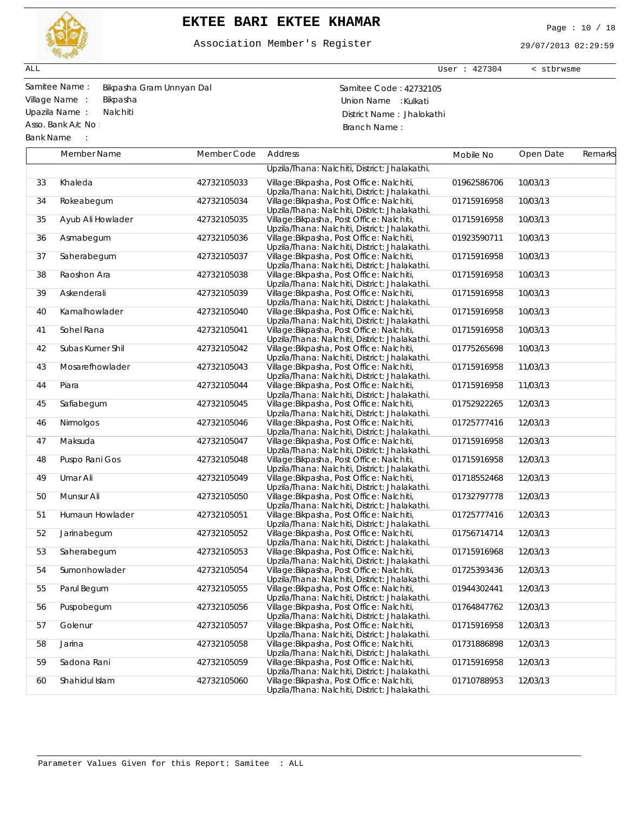

# **EKTEE BARI EKTEE KHAMAR** Page : 10 / 18

Association Member's Register

29/07/2013 02:29:59

User : 427304 < stbrwsme

ALL

 $\Gamma$ 

Asso. Bank A/c No :

Bank Name :

Samitee Name : Samitee Code : 42732105 Bikpasha Gram Unnyan Dal Village Name : Bikpasha <br>
Union Name : Kulkati Upazila Name : Nalchiti **District Name : Nalchiti** District Name : Jhalokathi Branch Name :

|    | Member Name       | Member Code | Address                                                                                    | Mobile No   | Open Date | Remarks |
|----|-------------------|-------------|--------------------------------------------------------------------------------------------|-------------|-----------|---------|
|    |                   |             | Upzila/Thana: Nalchiti, District: Jhalakathi.                                              |             |           |         |
|    |                   |             |                                                                                            |             |           |         |
| 33 | Khaleda           | 42732105033 | Village: Bikpasha, Post Office: Nalchiti,<br>Upzila/Thana: Nalchiti, District: Jhalakathi. | 01962586706 | 10/03/13  |         |
| 34 | Rokeabegum        | 42732105034 | Village: Bikpasha, Post Office: Nalchiti,                                                  | 01715916958 | 10/03/13  |         |
|    |                   |             | Upzila/Thana: Nalchiti, District: Jhalakathi.                                              |             |           |         |
| 35 | Ayub Ali Howlader | 42732105035 | Village: Bikpasha, Post Office: Nalchiti,                                                  | 01715916958 | 10/03/13  |         |
|    |                   |             | Upzila/Thana: Nalchiti, District: Jhalakathi.                                              |             |           |         |
| 36 | Asmabegum         | 42732105036 | Village: Bikpasha, Post Office: Nalchiti,                                                  | 01923590711 | 10/03/13  |         |
|    |                   |             | Upzila/Thana: Nalchiti, District: Jhalakathi.                                              |             |           |         |
| 37 | Saherabegum       | 42732105037 | Village: Bikpasha, Post Office: Nalchiti,                                                  | 01715916958 | 10/03/13  |         |
|    |                   |             | Upzila/Thana: Nalchiti, District: Jhalakathi.                                              |             |           |         |
| 38 | Raoshon Ara       | 42732105038 | Village: Bikpasha, Post Office: Nalchiti,                                                  | 01715916958 | 10/03/13  |         |
|    |                   |             | Upzila/Thana: Nalchiti, District: Jhalakathi.                                              |             |           |         |
| 39 | Askenderali       | 42732105039 | Village: Bikpasha, Post Office: Nalchiti,<br>Upzila/Thana: Nalchiti, District: Jhalakathi. | 01715916958 | 10/03/13  |         |
| 40 | Kamalhowlader     | 42732105040 | Village: Bikpasha, Post Office: Nalchiti,                                                  | 01715916958 | 10/03/13  |         |
|    |                   |             | Upzila/Thana: Nalchiti, District: Jhalakathi.                                              |             |           |         |
| 41 | Sohel Rana        | 42732105041 | Village: Bikpasha, Post Office: Nalchiti,                                                  | 01715916958 | 10/03/13  |         |
|    |                   |             | Upzila/Thana: Nalchiti, District: Jhalakathi.                                              |             |           |         |
| 42 | Subas Kumer Shil  | 42732105042 | Village: Bikpasha, Post Office: Nalchiti,                                                  | 01775265698 | 10/03/13  |         |
|    |                   |             | Upzila/Thana: Nalchiti, District: Jhalakathi.                                              |             |           |         |
| 43 | Mosarefhowlader   | 42732105043 | Village: Bikpasha, Post Office: Nalchiti,                                                  | 01715916958 | 11/03/13  |         |
|    |                   |             | Upzila/Thana: Nalchiti, District: Jhalakathi.                                              |             |           |         |
| 44 | Piara             | 42732105044 | Village: Bikpasha, Post Office: Nalchiti,                                                  | 01715916958 | 11/03/13  |         |
|    |                   |             | Upzila/Thana: Nalchiti, District: Jhalakathi.                                              |             |           |         |
| 45 | Safiabegum        | 42732105045 | Village: Bikpasha, Post Office: Nalchiti,                                                  | 01752922265 | 12/03/13  |         |
|    |                   |             | Upzila/Thana: Nalchiti, District: Jhalakathi.                                              |             |           |         |
| 46 | Nirmolgos         | 42732105046 | Village: Bikpasha, Post Office: Nalchiti,                                                  | 01725777416 | 12/03/13  |         |
|    |                   |             | Upzila/Thana: Nalchiti, District: Jhalakathi.                                              |             |           |         |
| 47 | Maksuda           | 42732105047 | Village: Bikpasha, Post Office: Nalchiti,<br>Upzila/Thana: Nalchiti, District: Jhalakathi. | 01715916958 | 12/03/13  |         |
| 48 | Puspo Rani Gos    | 42732105048 | Village: Bikpasha, Post Office: Nalchiti,                                                  | 01715916958 | 12/03/13  |         |
|    |                   |             | Upzila/Thana: Nalchiti, District: Jhalakathi.                                              |             |           |         |
| 49 | Umar Ali          | 42732105049 | Village: Bikpasha, Post Office: Nalchiti,                                                  | 01718552468 | 12/03/13  |         |
|    |                   |             | Upzila/Thana: Nalchiti, District: Jhalakathi.                                              |             |           |         |
| 50 | Munsur Ali        | 42732105050 | Village: Bikpasha, Post Office: Nalchiti,                                                  | 01732797778 | 12/03/13  |         |
|    |                   |             | Upzila/Thana: Nalchiti, District: Jhalakathi.                                              |             |           |         |
| 51 | Humaun Howlader   | 42732105051 | Village: Bikpasha, Post Office: Nalchiti,                                                  | 01725777416 | 12/03/13  |         |
|    |                   |             | Upzila/Thana: Nalchiti, District: Jhalakathi.                                              |             |           |         |
| 52 | Jarinabegum       | 42732105052 | Village: Bikpasha, Post Office: Nalchiti,                                                  | 01756714714 | 12/03/13  |         |
|    |                   |             | Upzila/Thana: Nalchiti, District: Jhalakathi.                                              |             |           |         |
| 53 | Saherabegum       | 42732105053 | Village: Bikpasha, Post Office: Nalchiti,                                                  | 01715916968 | 12/03/13  |         |
|    |                   |             | Upzila/Thana: Nalchiti, District: Jhalakathi.                                              |             |           |         |
| 54 | Sumonhowlader     | 42732105054 | Village: Bikpasha, Post Office: Nalchiti,                                                  | 01725393436 | 12/03/13  |         |
| 55 | Parul Begum       | 42732105055 | Upzila/Thana: Nalchiti, District: Jhalakathi.                                              | 01944302441 | 12/03/13  |         |
|    |                   |             | Village: Bikpasha, Post Office: Nalchiti,<br>Upzila/Thana: Nalchiti, District: Jhalakathi. |             |           |         |
| 56 | Puspobegum        | 42732105056 | Village: Bikpasha, Post Office: Nalchiti,                                                  | 01764847762 | 12/03/13  |         |
|    |                   |             | Upzila/Thana: Nalchiti, District: Jhalakathi.                                              |             |           |         |
| 57 | Golenur           | 42732105057 | Village: Bikpasha, Post Office: Nalchiti,                                                  | 01715916958 | 12/03/13  |         |
|    |                   |             | Upzila/Thana: Nalchiti, District: Jhalakathi.                                              |             |           |         |
| 58 | Jarina            | 42732105058 | Village: Bikpasha, Post Office: Nalchiti,                                                  | 01731886898 | 12/03/13  |         |
|    |                   |             | Upzila/Thana: Nalchiti, District: Jhalakathi.                                              |             |           |         |
| 59 | Sadona Rani       | 42732105059 | Village: Bikpasha, Post Office: Nalchiti,                                                  | 01715916958 | 12/03/13  |         |
|    |                   |             | Upzila/Thana: Nalchiti, District: Jhalakathi.                                              |             |           |         |
| 60 | Shahidul Islam    | 42732105060 | Village: Bikpasha, Post Office: Nalchiti,                                                  | 01710788953 | 12/03/13  |         |
|    |                   |             | Upzila/Thana: Nalchiti, District: Jhalakathi.                                              |             |           |         |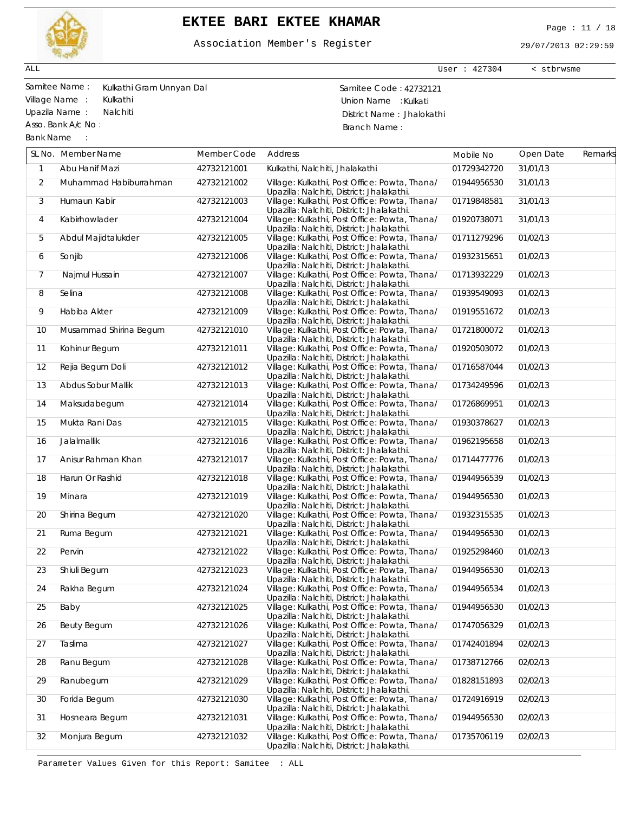

# **EKTEE BARI EKTEE KHAMAR** Page : 11 / 18

Association Member's Register

29/07/2013 02:29:59

User : 427304 < stbrwsme

ALL

Asso. Bank A/c No :

Bank Name :

Samitee Name : Samitee Code : 42732121 Kulkathi Gram Unnyan Dal Village Name : Kulkathi Union Name : Kulkati Upazila Name : Nalchiti **District Name : Nalchiti** District Name : Jhalokathi Branch Name :

|                | SL No. Member Name     | Member Code | <b>Address</b>                                                                             | Mobile No   | Open Date | Remarks |
|----------------|------------------------|-------------|--------------------------------------------------------------------------------------------|-------------|-----------|---------|
| $\mathbf{1}$   | Abu Hanif Mazi         | 42732121001 | Kulkathi, Nalchiti, Jhalakathi                                                             | 01729342720 | 31/01/13  |         |
| $\overline{2}$ | Muhammad Habiburrahman | 42732121002 | Village: Kulkathi, Post Office: Powta, Thanal<br>Upazilla: Nalchiti, District: Jhalakathi. | 01944956530 | 31/01/13  |         |
| 3              | Humaun Kabir           | 42732121003 | Village: Kulkathi, Post Office: Powta, Thanal<br>Upazilla: Nalchiti, District: Jhalakathi. | 01719848581 | 31/01/13  |         |
| 4              | Kabirhowlader          | 42732121004 | Village: Kulkathi, Post Office: Powta, Thana/<br>Upazilla: Nalchiti, District: Jhalakathi. | 01920738071 | 31/01/13  |         |
| 5              | Abdul Majidtalukder    | 42732121005 | Village: Kulkathi, Post Office: Powta, Thana/<br>Upazilla: Nalchiti, District: Jhalakathi. | 01711279296 | 01/02/13  |         |
| 6              | Sonjib                 | 42732121006 | Village: Kulkathi, Post Office: Powta, Thana/<br>Upazilla: Nalchiti, District: Jhalakathi. | 01932315651 | 01/02/13  |         |
| $\overline{7}$ | Najmul Hussain         | 42732121007 | Village: Kulkathi, Post Office: Powta, Thana/<br>Upazilla: Nalchiti, District: Jhalakathi. | 01713932229 | 01/02/13  |         |
| 8              | Selina                 | 42732121008 | Village: Kulkathi, Post Office: Powta, Thana/<br>Upazilla: Nalchiti, District: Jhalakathi. | 01939549093 | 01/02/13  |         |
| 9              | Habiba Akter           | 42732121009 | Village: Kulkathi, Post Office: Powta, Thana/<br>Upazilla: Nalchiti, District: Jhalakathi. | 01919551672 | 01/02/13  |         |
| 10             | Musammad Shirina Begum | 42732121010 | Village: Kulkathi, Post Office: Powta, Thana/<br>Upazilla: Nalchiti, District: Jhalakathi. | 01721800072 | 01/02/13  |         |
| 11             | Kohinur Begum          | 42732121011 | Village: Kulkathi, Post Office: Powta, Thana/<br>Upazilla: Nalchiti, District: Jhalakathi. | 01920503072 | 01/02/13  |         |
| 12             | Rejia Begum Doli       | 42732121012 | Village: Kulkathi, Post Office: Powta, Thanal<br>Upazilla: Nalchiti, District: Jhalakathi. | 01716587044 | 01/02/13  |         |
| 13             | Abdus Sobur Mallik     | 42732121013 | Village: Kulkathi, Post Office: Powta, Thanal<br>Upazilla: Nalchiti, District: Jhalakathi. | 01734249596 | 01/02/13  |         |
| 14             | Maksudabegum           | 42732121014 | Village: Kulkathi, Post Office: Powta, Thanal<br>Upazilla: Nalchiti, District: Jhalakathi. | 01726869951 | 01/02/13  |         |
| 15             | Mukta Rani Das         | 42732121015 | Village: Kulkathi, Post Office: Powta, Thanal<br>Upazilla: Nalchiti, District: Jhalakathi. | 01930378627 | 01/02/13  |         |
| 16             | Jalalmallik            | 42732121016 | Village: Kulkathi, Post Office: Powta, Thanal<br>Upazilla: Nalchiti, District: Jhalakathi. | 01962195658 | 01/02/13  |         |
| 17             | Anisur Rahman Khan     | 42732121017 | Village: Kulkathi, Post Office: Powta, Thanal<br>Upazilla: Nalchiti, District: Jhalakathi. | 01714477776 | 01/02/13  |         |
| 18             | Harun Or Rashid        | 42732121018 | Village: Kulkathi, Post Office: Powta, Thanal<br>Upazilla: Nalchiti, District: Jhalakathi. | 01944956539 | 01/02/13  |         |
| 19             | Minara                 | 42732121019 | Village: Kulkathi, Post Office: Powta, Thanal<br>Upazilla: Nalchiti, District: Jhalakathi. | 01944956530 | 01/02/13  |         |
| 20             | Shirina Begum          | 42732121020 | Village: Kulkathi, Post Office: Powta, Thanal<br>Upazilla: Nalchiti, District: Jhalakathi. | 01932315535 | 01/02/13  |         |
| 21             | Ruma Begum             | 42732121021 | Village: Kulkathi, Post Office: Powta, Thanal<br>Upazilla: Nalchiti, District: Jhalakathi. | 01944956530 | 01/02/13  |         |
| 22             | Pervin                 | 42732121022 | Village: Kulkathi, Post Office: Powta, Thanal<br>Upazilla: Nalchiti, District: Jhalakathi. | 01925298460 | 01/02/13  |         |
| 23             | Shiuli Begum           | 42732121023 | Village: Kulkathi, Post Office: Powta, Thanal<br>Upazilla: Nalchiti, District: Jhalakathi. | 01944956530 | 01/02/13  |         |
| 24             | Rakha Begum            | 42732121024 | Village: Kulkathi, Post Office: Powta, Thanal<br>Upazilla: Nalchiti, District: Jhalakathi. | 01944956534 | 01/02/13  |         |
| 25             | Baby                   | 42732121025 | Village: Kulkathi, Post Office: Powta, Thanal<br>Upazilla: Nalchiti, District: Jhalakathi. | 01944956530 | 01/02/13  |         |
| 26             | <b>Beuty Begum</b>     | 42732121026 | Village: Kulkathi, Post Office: Powta, Thanal<br>Upazilla: Nalchiti, District: Jhalakathi. | 01747056329 | 01/02/13  |         |
| 27             | Taslima                | 42732121027 | Village: Kulkathi, Post Office: Powta, Thanal<br>Upazilla: Nalchiti, District: Jhalakathi. | 01742401894 | 02/02/13  |         |
| 28             | Ranu Begum             | 42732121028 | Village: Kulkathi, Post Office: Powta, Thanal<br>Upazilla: Nalchiti, District: Jhalakathi. | 01738712766 | 02/02/13  |         |
| 29             | Ranubegum              | 42732121029 | Village: Kulkathi, Post Office: Powta, Thanal<br>Upazilla: Nalchiti, District: Jhalakathi. | 01828151893 | 02/02/13  |         |
| 30             | Forida Begum           | 42732121030 | Village: Kulkathi, Post Office: Powta, Thanal<br>Upazilla: Nalchiti, District: Jhalakathi. | 01724916919 | 02/02/13  |         |
| 31             | Hosneara Begum         | 42732121031 | Village: Kulkathi, Post Office: Powta, Thanal<br>Upazilla: Nalchiti, District: Jhalakathi. | 01944956530 | 02/02/13  |         |
| 32             | Monjura Begum          | 42732121032 | Village: Kulkathi, Post Office: Powta, Thanal<br>Upazilla: Nalchiti, District: Jhalakathi. | 01735706119 | 02/02/13  |         |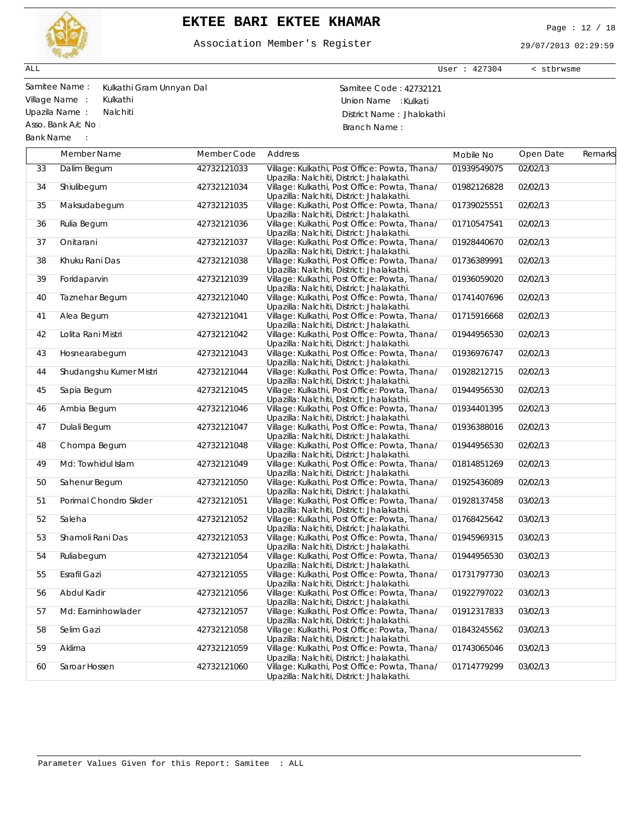

## **EKTEE BARI EKTEE KHAMAR** Page : 12 / 18

Association Member's Register

29/07/2013 02:29:59

User : 427304 < stbrwsme

ALL

Asso. Bank A/c No :

Bank Name :

Samitee Name : Samitee Code : 42732121 Kulkathi Gram Unnyan Dal Village Name : Kulkathi Union Name : Kulkati Upazila Name : Nalchiti **District Name : Nalchiti** District Name : Jhalokathi Branch Name :

|    | Member Name             | Member Code | Address                                                                                    | Mobile No   | Open Date | Remarks |
|----|-------------------------|-------------|--------------------------------------------------------------------------------------------|-------------|-----------|---------|
| 33 | Dalim Begum             | 42732121033 | Village: Kulkathi, Post Office: Powta, Thanal<br>Upazilla: Nalchiti, District: Jhalakathi. | 01939549075 | 02/02/13  |         |
| 34 | Shiulibegum             | 42732121034 | Village: Kulkathi, Post Office: Powta, Thanal<br>Upazilla: Nalchiti, District: Jhalakathi. | 01982126828 | 02/02/13  |         |
| 35 | Maksudabegum            | 42732121035 | Village: Kulkathi, Post Office: Powta, Thanal<br>Upazilla: Nalchiti, District: Jhalakathi. | 01739025551 | 02/02/13  |         |
| 36 | Rulia Begum             | 42732121036 | Village: Kulkathi, Post Office: Powta, Thanal<br>Upazilla: Nalchiti, District: Jhalakathi. | 01710547541 | 02/02/13  |         |
| 37 | Onitarani               | 42732121037 | Village: Kulkathi, Post Office: Powta, Thana/<br>Upazilla: Nalchiti, District: Jhalakathi. | 01928440670 | 02/02/13  |         |
| 38 | Khuku Rani Das          | 42732121038 | Village: Kulkathi, Post Office: Powta, Thanal<br>Upazilla: Nalchiti, District: Jhalakathi. | 01736389991 | 02/02/13  |         |
| 39 | Foridaparvin            | 42732121039 | Village: Kulkathi, Post Office: Powta, Thana/<br>Upazilla: Nalchiti, District: Jhalakathi. | 01936059020 | 02/02/13  |         |
| 40 | <b>Taznehar Begum</b>   | 42732121040 | Village: Kulkathi, Post Office: Powta, Thanal<br>Upazilla: Nalchiti, District: Jhalakathi. | 01741407696 | 02/02/13  |         |
| 41 | Alea Begum              | 42732121041 | Village: Kulkathi, Post Office: Powta, Thanal<br>Upazilla: Nalchiti, District: Jhalakathi. | 01715916668 | 02/02/13  |         |
| 42 | Lolita Rani Mistri      | 42732121042 | Village: Kulkathi, Post Office: Powta, Thanal<br>Upazilla: Nalchiti, District: Jhalakathi. | 01944956530 | 02/02/13  |         |
| 43 | Hosnearabegum           | 42732121043 | Village: Kulkathi, Post Office: Powta, Thanal<br>Upazilla: Nalchiti, District: Jhalakathi. | 01936976747 | 02/02/13  |         |
| 44 | Shudangshu Kumer Mistri | 42732121044 | Village: Kulkathi, Post Office: Powta, Thanal<br>Upazilla: Nalchiti, District: Jhalakathi. | 01928212715 | 02/02/13  |         |
| 45 | Sapia Begum             | 42732121045 | Village: Kulkathi, Post Office: Powta, Thanal<br>Upazilla: Nalchiti, District: Jhalakathi. | 01944956530 | 02/02/13  |         |
| 46 | Ambia Begum             | 42732121046 | Village: Kulkathi, Post Office: Powta, Thanal<br>Upazilla: Nalchiti, District: Jhalakathi. | 01934401395 | 02/02/13  |         |
| 47 | Dulali Begum            | 42732121047 | Village: Kulkathi, Post Office: Powta, Thanal<br>Upazilla: Nalchiti, District: Jhalakathi. | 01936388016 | 02/02/13  |         |
| 48 | Chompa Begum            | 42732121048 | Village: Kulkathi, Post Office: Powta, Thana/<br>Upazilla: Nalchiti, District: Jhalakathi. | 01944956530 | 02/02/13  |         |
| 49 | Md: Towhidul Islam      | 42732121049 | Village: Kulkathi, Post Office: Powta, Thanal<br>Upazilla: Nalchiti, District: Jhalakathi. | 01814851269 | 02/02/13  |         |
| 50 | Sahenur Begum           | 42732121050 | Village: Kulkathi, Post Office: Powta, Thanal<br>Upazilla: Nalchiti, District: Jhalakathi. | 01925436089 | 02/02/13  |         |
| 51 | Porimal Chondro Sikder  | 42732121051 | Village: Kulkathi, Post Office: Powta, Thana/<br>Upazilla: Nalchiti, District: Jhalakathi. | 01928137458 | 03/02/13  |         |
| 52 | Saleha                  | 42732121052 | Village: Kulkathi, Post Office: Powta, Thanal<br>Upazilla: Nalchiti, District: Jhalakathi. | 01768425642 | 03/02/13  |         |
| 53 | Shamoli Rani Das        | 42732121053 | Village: Kulkathi, Post Office: Powta, Thanal<br>Upazilla: Nalchiti, District: Jhalakathi. | 01945969315 | 03/02/13  |         |
| 54 | Ruliabegum              | 42732121054 | Village: Kulkathi, Post Office: Powta, Thanal<br>Upazilla: Nalchiti, District: Jhalakathi. | 01944956530 | 03/02/13  |         |
| 55 | Esrafil Gazi            | 42732121055 | Village: Kulkathi, Post Office: Powta, Thanal<br>Upazilla: Nalchiti, District: Jhalakathi. | 01731797730 | 03/02/13  |         |
| 56 | Abdul Kadir             | 42732121056 | Village: Kulkathi, Post Office: Powta, Thana/<br>Upazilla: Nalchiti, District: Jhalakathi. | 01922797022 | 03/02/13  |         |
| 57 | Md: Eaminhowlader       | 42732121057 | Village: Kulkathi, Post Office: Powta, Thanal<br>Upazilla: Nalchiti, District: Jhalakathi. | 01912317833 | 03/02/13  |         |
| 58 | Selim Gazi              | 42732121058 | Village: Kulkathi, Post Office: Powta, Thana/<br>Upazilla: Nalchiti, District: Jhalakathi. | 01843245562 | 03/02/13  |         |
| 59 | Aklima                  | 42732121059 | Village: Kulkathi, Post Office: Powta, Thanal<br>Upazilla: Nalchiti, District: Jhalakathi. | 01743065046 | 03/02/13  |         |
| 60 | Saroar Hossen           | 42732121060 | Village: Kulkathi, Post Office: Powta, Thanal<br>Upazilla: Nalchiti, District: Jhalakathi. | 01714779299 | 03/02/13  |         |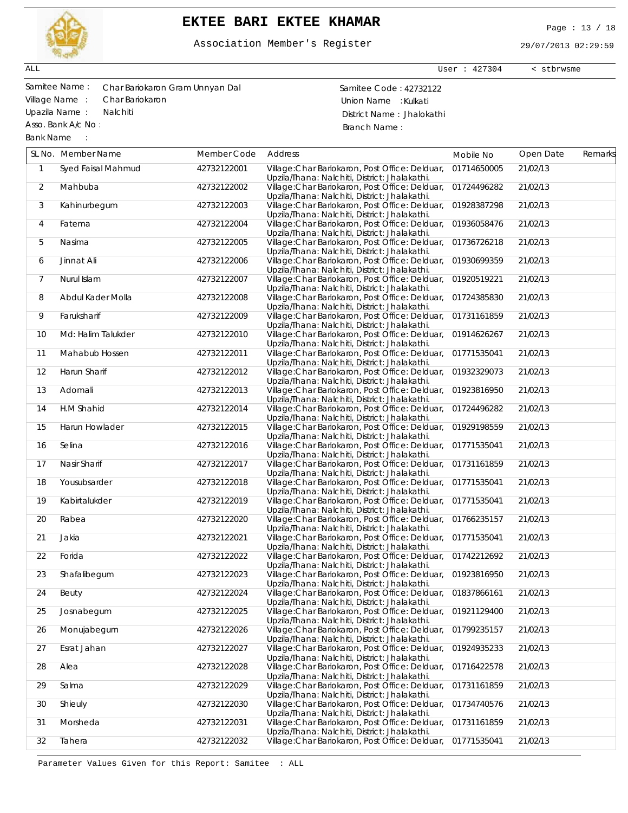

# **EKTEE BARI EKTEE KHAMAR** Page : 13 / 18

Association Member's Register

29/07/2013 02:29:59

User : 427304 < stbrwsme

ALL

Asso. Bank A/c No :

Bank Name :

Samitee Name : Char Bariokaron Gram Unnyan Dal Samitee Code : 42732122 Village Name : Char Bariokaron **Manual Accord Contract Contract Char Bariokaron** Union Name : Kulkati Upazila Name : Nalchiti **District Name : Nalchiti** District Name : Jhalokathi Branch Name :

|                | SL No. Member Name             | Member Code                | Address                                                                                                                                             | Mobile No                  | Open Date            | Remarks |
|----------------|--------------------------------|----------------------------|-----------------------------------------------------------------------------------------------------------------------------------------------------|----------------------------|----------------------|---------|
| $\mathbf{1}$   | Syed Faisal Mahmud             | 42732122001                | Village:Char Bariokaron, Post Office: Delduar,<br>Upzila/Thana: Nalchiti, District: Jhalakathi.                                                     | 01714650005                | 21/02/13             |         |
| $\overline{2}$ | Mahbuba                        | 42732122002                | Village: Char Bariokaron, Post Office: Delduar,<br>Upzila/Thana: Nalchiti, District: Jhalakathi.                                                    | 01724496282                | 21/02/13             |         |
| 3              | Kahinurbegum                   | 42732122003                | Village: Char Bariokaron, Post Office: Delduar,<br>Upzila/Thana: Nalchiti, District: Jhalakathi.                                                    | 01928387298                | 21/02/13             |         |
| 4              | Fatema                         | 42732122004                | Village: Char Bariokaron, Post Office: Delduar,<br>Upzila/Thana: Nalchiti, District: Jhalakathi.                                                    | 01936058476                | 21/02/13             |         |
| 5              | Nasima                         | 42732122005                | Village: Char Bariokaron, Post Office: Delduar,<br>Upzila/Thana: Nalchiti, District: Jhalakathi.                                                    | 01736726218                | 21/02/13             |         |
| 6              | Jinnat Ali                     | 42732122006                | Village: Char Bariokaron, Post Office: Delduar,<br>Upzila/Thana: Nalchiti, District: Jhalakathi.                                                    | 01930699359                | 21/02/13             |         |
| 7              | Nurul Islam                    | 42732122007                | Village: Char Bariokaron, Post Office: Delduar,<br>Upzila/Thana: Nalchiti, District: Jhalakathi.                                                    | 01920519221                | 21/02/13             |         |
| 8              | Abdul Kader Molla              | 42732122008                | Village: Char Bariokaron, Post Office: Delduar,<br>Upzila/Thana: Nalchiti, District: Jhalakathi.                                                    | 01724385830                | 21/02/13             |         |
| 9              | Faruksharif                    | 42732122009                | Village: Char Bariokaron, Post Office: Delduar,<br>Upzila/Thana: Nalchiti, District: Jhalakathi.                                                    | 01731161859                | 21/02/13             |         |
| 10             | Md: Halim Talukder             | 42732122010<br>42732122011 | Village: Char Bariokaron, Post Office: Delduar,<br>Upzila/Thana: Nalchiti, District: Jhalakathi.                                                    | 01914626267                | 21/02/13<br>21/02/13 |         |
| 11<br>12       | Mahabub Hossen<br>Harun Sharif | 42732122012                | Village: Char Bariokaron, Post Office: Delduar,<br>Upzila/Thana: Nalchiti, District: Jhalakathi.<br>Village: Char Bariokaron, Post Office: Delduar, | 01771535041<br>01932329073 | 21/02/13             |         |
| 13             | Adomali                        | 42732122013                | Upzila/Thana: Nalchiti, District: Jhalakathi.<br>Village: Char Bariokaron, Post Office: Delduar,                                                    | 01923816950                | 21/02/13             |         |
| 14             | H.M Shahid                     | 42732122014                | Upzila/Thana: Nalchiti, District: Jhalakathi.<br>Village: Char Bariokaron, Post Office: Delduar,                                                    | 01724496282                | 21/02/13             |         |
| 15             | Harun Howlader                 | 42732122015                | Upzila/Thana: Nalchiti, District: Jhalakathi.<br>Village: Char Bariokaron, Post Office: Delduar,                                                    | 01929198559                | 21/02/13             |         |
| 16             | Selina                         | 42732122016                | Upzila/Thana: Nalchiti, District: Jhalakathi.<br>Village: Char Bariokaron, Post Office: Delduar,                                                    | 01771535041                | 21/02/13             |         |
| 17             | Nasir Sharif                   | 42732122017                | Upzila/Thana: Nalchiti, District: Jhalakathi.<br>Village: Char Bariokaron, Post Office: Delduar,                                                    | 01731161859                | 21/02/13             |         |
| 18             | Yousubsarder                   | 42732122018                | Upzila/Thana: Nalchiti, District: Jhalakathi.<br>Village: Char Bariokaron, Post Office: Delduar,                                                    | 01771535041                | 21/02/13             |         |
| 19             | Kabirtalukder                  | 42732122019                | Upzila/Thana: Nalchiti, District: Jhalakathi.<br>Village: Char Bariokaron, Post Office: Delduar,                                                    | 01771535041                | 21/02/13             |         |
| 20             | Rabea                          | 42732122020                | Upzila/Thana: Nalchiti, District: Jhalakathi.<br>Village: Char Bariokaron, Post Office: Delduar,                                                    | 01766235157                | 21/02/13             |         |
| 21             | Jakia                          | 42732122021                | Upzila/Thana: Nalchiti, District: Jhalakathi.<br>Village: Char Bariokaron, Post Office: Delduar,                                                    | 01771535041                | 21/02/13             |         |
| 22             | Forida                         | 42732122022                | Upzila/Thana: Nalchiti, District: Jhalakathi.<br>Village: Char Bariokaron, Post Office: Delduar,                                                    | 01742212692                | 21/02/13             |         |
| 23             | Shafalibegum                   | 42732122023                | Upzila/Thana: Nalchiti, District: Jhalakathi.<br>Village: Char Bariokaron, Post Office: Delduar,                                                    | 01923816950                | 21/02/13             |         |
| 24             | Beuty                          | 42732122024                | Upzila/Thana: Nalchiti, District: Jhalakathi.<br>Village: Char Bariokaron, Post Office: Delduar,<br>Upzila/Thana: Nalchiti, District: Jhalakathi.   | 01837866161                | 21/02/13             |         |
| 25             | Josnabegum                     | 42732122025                | Village: Char Bariokaron, Post Office: Delduar, 01921129400<br>Upzila/Thana: Nalchiti, District: Jhalakathi.                                        |                            | 21/02/13             |         |
| 26             | Monujabegum                    | 42732122026                | Village: Char Bariokaron, Post Office: Delduar,<br>Upzila/Thana: Nalchiti, District: Jhalakathi.                                                    | 01799235157                | 21/02/13             |         |
| 27             | Esrat Jahan                    | 42732122027                | Village: Char Bariokaron, Post Office: Delduar,<br>Upzila/Thana: Nalchiti, District: Jhalakathi.                                                    | 01924935233                | 21/02/13             |         |
| 28             | Alea                           | 42732122028                | Village: Char Bariokaron, Post Office: Delduar,<br>Upzila/Thana: Nalchiti, District: Jhalakathi.                                                    | 01716422578                | 21/02/13             |         |
| 29             | Salma                          | 42732122029                | Village: Char Bariokaron, Post Office: Delduar,<br>Upzila/Thana: Nalchiti, District: Jhalakathi.                                                    | 01731161859                | 21/02/13             |         |
| 30             | Shieuly                        | 42732122030                | Village: Char Bariokaron, Post Office: Delduar,<br>Upzila/Thana: Nalchiti, District: Jhalakathi.                                                    | 01734740576                | 21/02/13             |         |
| 31             | Morsheda                       | 42732122031                | Village: Char Bariokaron, Post Office: Delduar,<br>Upzila/Thana: Nalchiti, District: Jhalakathi.                                                    | 01731161859                | 21/02/13             |         |
| 32             | Tahera                         | 42732122032                | Village: Char Bariokaron, Post Office: Delduar,                                                                                                     | 01771535041                | 21/02/13             |         |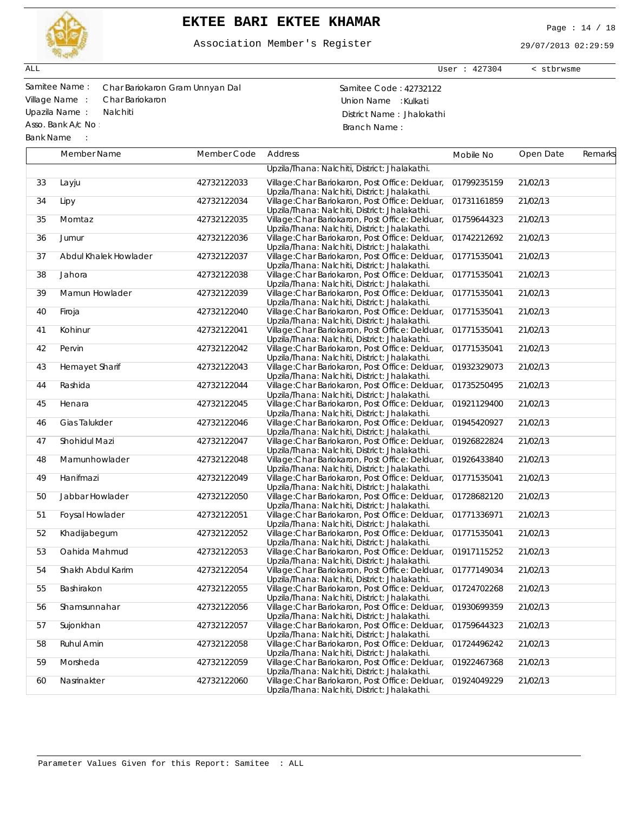

# **EKTEE BARI EKTEE KHAMAR** Page : 14 / 18

Association Member's Register

29/07/2013 02:29:59

User : 427304 < stbrwsme

ALL

Asso. Bank A/c No :

Bank Name :

Samitee Name : Char Bariokaron Gram Unnyan Dal Samitee Code : 42732122 Village Name : Char Bariokaron **Manual Accord Contract Contract Char Bariokaron** Union Name : Kulkati Upazila Name : Nalchiti **District Name : Nalchiti** District Name : Jhalokathi Branch Name :

|    | Member Name           | Member Code | Address                                                                                                      | Mobile No   | Open Date | Remarks |
|----|-----------------------|-------------|--------------------------------------------------------------------------------------------------------------|-------------|-----------|---------|
|    |                       |             | Upzila/Thana: Nalchiti, District: Jhalakathi.                                                                |             |           |         |
| 33 | Layju                 | 42732122033 | Village: Char Bariokaron, Post Office: Delduar,<br>Upzila/Thana: Nalchiti, District: Jhalakathi.             | 01799235159 | 21/02/13  |         |
| 34 | Lipy                  | 42732122034 | Village: Char Bariokaron, Post Office: Delduar, 01731161859<br>Upzila/Thana: Nalchiti, District: Jhalakathi. |             | 21/02/13  |         |
| 35 | Momtaz                | 42732122035 | Village: Char Bariokaron, Post Office: Delduar, 01759644323<br>Upzila/Thana: Nalchiti, District: Jhalakathi. |             | 21/02/13  |         |
| 36 | Jumur                 | 42732122036 | Village: Char Bariokaron, Post Office: Delduar, 01742212692<br>Upzila/Thana: Nalchiti, District: Jhalakathi. |             | 21/02/13  |         |
| 37 | Abdul Khalek Howlader | 42732122037 | Village: Char Bariokaron, Post Office: Delduar, 01771535041<br>Upzila/Thana: Nalchiti, District: Jhalakathi. |             | 21/02/13  |         |
| 38 | Jahora                | 42732122038 | Village: Char Bariokaron, Post Office: Delduar, 01771535041<br>Upzila/Thana: Nalchiti, District: Jhalakathi. |             | 21/02/13  |         |
| 39 | Mamun Howlader        | 42732122039 | Village: Char Bariokaron, Post Office: Delduar, 01771535041<br>Upzila/Thana: Nalchiti, District: Jhalakathi. |             | 21/02/13  |         |
| 40 | Firoja                | 42732122040 | Village: Char Bariokaron, Post Office: Delduar, 01771535041<br>Upzila/Thana: Nalchiti, District: Jhalakathi. |             | 21/02/13  |         |
| 41 | Kohinur               | 42732122041 | Village: Char Bariokaron, Post Office: Delduar, 01771535041<br>Upzila/Thana: Nalchiti, District: Jhalakathi. |             | 21/02/13  |         |
| 42 | Pervin                | 42732122042 | Village: Char Bariokaron, Post Office: Delduar, 01771535041<br>Upzila/Thana: Nalchiti, District: Jhalakathi. |             | 21/02/13  |         |
| 43 | Hemayet Sharif        | 42732122043 | Village: Char Bariokaron, Post Office: Delduar, 01932329073<br>Upzila/Thana: Nalchiti, District: Jhalakathi. |             | 21/02/13  |         |
| 44 | Rashida               | 42732122044 | Village: Char Bariokaron, Post Office: Delduar, 01735250495<br>Upzila/Thana: Nalchiti, District: Jhalakathi. |             | 21/02/13  |         |
| 45 | Henara                | 42732122045 | Village: Char Bariokaron, Post Office: Delduar, 01921129400<br>Upzila/Thana: Nalchiti, District: Jhalakathi. |             | 21/02/13  |         |
| 46 | Gias Talukder         | 42732122046 | Village: Char Bariokaron, Post Office: Delduar, 01945420927<br>Upzila/Thana: Nalchiti, District: Jhalakathi. |             | 21/02/13  |         |
| 47 | Shohidul Mazi         | 42732122047 | Village: Char Bariokaron, Post Office: Delduar, 01926822824<br>Upzila/Thana: Nalchiti, District: Jhalakathi. |             | 21/02/13  |         |
| 48 | Mamunhowlader         | 42732122048 | Village: Char Bariokaron, Post Office: Delduar, 01926433840<br>Upzila/Thana: Nalchiti, District: Jhalakathi. |             | 21/02/13  |         |
| 49 | Hanifmazi             | 42732122049 | Village: Char Bariokaron, Post Office: Delduar, 01771535041<br>Upzila/Thana: Nalchiti, District: Jhalakathi. |             | 21/02/13  |         |
| 50 | Jabbar Howlader       | 42732122050 | Village: Char Bariokaron, Post Office: Delduar, 01728682120<br>Upzila/Thana: Nalchiti, District: Jhalakathi. |             | 21/02/13  |         |
| 51 | Foysal Howlader       | 42732122051 | Village: Char Bariokaron, Post Office: Delduar, 01771336971<br>Upzila/Thana: Nalchiti, District: Jhalakathi. |             | 21/02/13  |         |
| 52 | Khadijabegum          | 42732122052 | Village: Char Bariokaron, Post Office: Delduar, 01771535041<br>Upzila/Thana: Nalchiti, District: Jhalakathi. |             | 21/02/13  |         |
| 53 | Oahida Mahmud         | 42732122053 | Village: Char Bariokaron, Post Office: Delduar, 01917115252<br>Upzila/Thana: Nalchiti, District: Jhalakathi. |             | 21/02/13  |         |
| 54 | Shakh Abdul Karim     | 42732122054 | Village: Char Bariokaron, Post Office: Delduar, 01777149034<br>Upzila/Thana: Nalchiti, District: Jhalakathi. |             | 21/02/13  |         |
| 55 | Bashirakon            | 42732122055 | Village: Char Bariokaron, Post Office: Delduar, 01724702268<br>Upzila/Thana: Nalchiti, District: Jhalakathi. |             | 21/02/13  |         |
| 56 | Shamsunnahar          | 42732122056 | Village: Char Bariokaron, Post Office: Delduar, 01930699359<br>Upzila/Thana: Nalchiti, District: Jhalakathi. |             | 21/02/13  |         |
| 57 | Sujonkhan             | 42732122057 | Village: Char Bariokaron, Post Office: Delduar,<br>Upzila/Thana: Nalchiti, District: Jhalakathi.             | 01759644323 | 21/02/13  |         |
| 58 | Ruhul Amin            | 42732122058 | Village: Char Bariokaron, Post Office: Delduar,<br>Upzila/Thana: Nalchiti, District: Jhalakathi.             | 01724496242 | 21/02/13  |         |
| 59 | Morsheda              | 42732122059 | Village: Char Bariokaron, Post Office: Delduar,<br>Upzila/Thana: Nalchiti, District: Jhalakathi.             | 01922467368 | 21/02/13  |         |
| 60 | Nasrinakter           | 42732122060 | Village: Char Bariokaron, Post Office: Delduar,<br>Upzila/Thana: Nalchiti, District: Jhalakathi.             | 01924049229 | 21/02/13  |         |
|    |                       |             |                                                                                                              |             |           |         |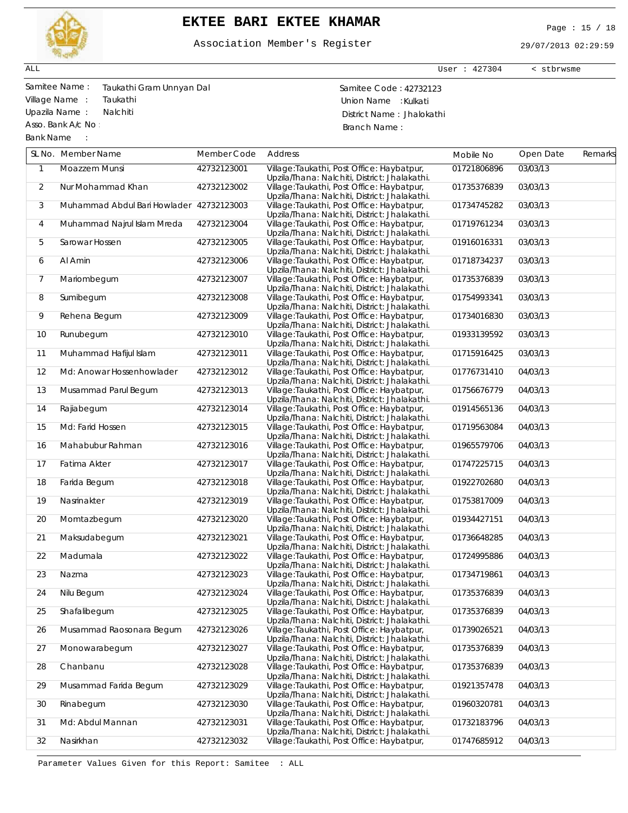

## **EKTEE BARI EKTEE KHAMAR** Page : 15 / 18

Association Member's Register

29/07/2013 02:29:59

User : 427304 < stbrwsme

ALL

Asso. Bank A/c No :

Bank Name :

Samitee Name : Samitee Code : 42732123 Taukathi Gram Unnyan Dal Village Name : Taukathi Union Name : Kulkati Upazila Name : Nalchiti **District Name : Nalchiti** District Name : Jhalokathi Branch Name :

|                | SL No. Member Name                       | Member Code | Address                                                                                     | Mobile No            | Open Date | Remarks |
|----------------|------------------------------------------|-------------|---------------------------------------------------------------------------------------------|----------------------|-----------|---------|
| $\mathbf{1}$   | Moazzem Munsi                            | 42732123001 | Village:Taukathi, Post Office: Haybatpur,<br>Upzila/Thana: Nalchiti, District: Jhalakathi.  | 01721806896          | 03/03/13  |         |
| 2              | Nur Mohammad Khan                        | 42732123002 | Village: Taukathi, Post Office: Haybatpur,<br>Upzila/Thana: Nalchiti, District: Jhalakathi. | 01735376839          | 03/03/13  |         |
| 3              | Muhammad Abdul Bari Howlader 42732123003 |             | Village:Taukathi, Post Office: Haybatpur,<br>Upzila/Thana: Nalchiti, District: Jhalakathi.  | 01734745282          | 03/03/13  |         |
| 4              | Muhammad Najrul Islam Mreda              | 42732123004 | Village:Taukathi, Post Office: Haybatpur,<br>Upzila/Thana: Nalchiti, District: Jhalakathi.  | 01719761234          | 03/03/13  |         |
| 5              | Sarowar Hossen                           | 42732123005 | Village: Taukathi, Post Office: Haybatpur,<br>Upzila/Thana: Nalchiti, District: Jhalakathi. | 01916016331          | 03/03/13  |         |
| 6              | Al Amin                                  | 42732123006 | Village:Taukathi, Post Office: Haybatpur,<br>Upzila/Thana: Nalchiti, District: Jhalakathi.  | 01718734237          | 03/03/13  |         |
| $\overline{7}$ | Mariombegum                              | 42732123007 | Village: Taukathi, Post Office: Haybatpur,<br>Upzila/Thana: Nalchiti, District: Jhalakathi. | 01735376839          | 03/03/13  |         |
| 8              | Sumibegum                                | 42732123008 | Village: Taukathi, Post Office: Haybatpur,<br>Upzila/Thana: Nalchiti, District: Jhalakathi. | 01754993341          | 03/03/13  |         |
| 9              | Rehena Begum                             | 42732123009 | Village: Taukathi, Post Office: Haybatpur,<br>Upzila/Thana: Nalchiti, District: Jhalakathi. | 01734016830          | 03/03/13  |         |
| 10             | Runubegum                                | 42732123010 | Village: Taukathi, Post Office: Haybatpur,<br>Upzila/Thana: Nalchiti, District: Jhalakathi. | 01933139592          | 03/03/13  |         |
| 11             | Muhammad Hafijul Islam                   | 42732123011 | Village: Taukathi, Post Office: Haybatpur,<br>Upzila/Thana: Nalchiti, District: Jhalakathi. | 01715916425          | 03/03/13  |         |
| 12             | Md: Anowar Hossenhowlader                | 42732123012 | Village:Taukathi, Post Office: Haybatpur,<br>Upzila/Thana: Nalchiti, District: Jhalakathi.  | 01776731410          | 04/03/13  |         |
| 13             | Musammad Parul Begum                     | 42732123013 | Village: Taukathi, Post Office: Haybatpur,<br>Upzila/Thana: Nalchiti, District: Jhalakathi. | 01756676779          | 04/03/13  |         |
| 14             | Rajiabegum                               | 42732123014 | Village:Taukathi, Post Office: Haybatpur,<br>Upzila/Thana: Nalchiti, District: Jhalakathi.  | 01914565136          | 04/03/13  |         |
| 15             | Md: Farid Hossen                         | 42732123015 | Village: Taukathi, Post Office: Haybatpur,<br>Upzila/Thana: Nalchiti, District: Jhalakathi. | 01719563084          | 04/03/13  |         |
| 16             | Mahabubur Rahman                         | 42732123016 | Village: Taukathi, Post Office: Haybatpur,<br>Upzila/Thana: Nalchiti, District: Jhalakathi. | 01965579706          | 04/03/13  |         |
| 17             | Fatima Akter                             | 42732123017 | Village: Taukathi, Post Office: Haybatpur,<br>Upzila/Thana: Nalchiti, District: Jhalakathi. | 01747225715          | 04/03/13  |         |
| 18             | Farida Begum                             | 42732123018 | Village: Taukathi, Post Office: Haybatpur,<br>Upzila/Thana: Nalchiti, District: Jhalakathi. | 01922702680          | 04/03/13  |         |
| 19             | Nasrinakter                              | 42732123019 | Village: Taukathi, Post Office: Haybatpur,<br>Upzila/Thana: Nalchiti, District: Jhalakathi. | 01753817009          | 04/03/13  |         |
| 20             | Momtazbegum                              | 42732123020 | Village: Taukathi, Post Office: Haybatpur,<br>Upzila/Thana: Nalchiti, District: Jhalakathi. | 01934427151          | 04/03/13  |         |
| 21             | Maksudabegum                             | 42732123021 | Village:Taukathi, Post Office: Haybatpur,<br>Upzila/Thana: Nalchiti, District: Jhalakathi.  | 01736648285          | 04/03/13  |         |
| 22             | Madumala                                 | 42732123022 | Village:Taukathi, Post Office: Haybatpur,<br>Upzila/Thana: Nalchiti, District: Jhalakathi.  | 01724995886          | 04/03/13  |         |
| 23             | Nazma                                    | 42732123023 | Village: Taukathi, Post Office: Haybatpur,<br>Upzila/Thana: Nalchiti, District: Jhalakathi. | 01734719861          | 04/03/13  |         |
| 24             | Nilu Begum                               | 42732123024 | Village:Taukathi, Post Office: Haybatpur,<br>Upzila/Thana: Nalchiti, District: Jhalakathi.  | 01735376839          | 04/03/13  |         |
| 25             | Shafalibegum                             | 42732123025 | Village: Taukathi, Post Office: Haybatpur,<br>Upzila/Thana: Nalchiti, District: Jhalakathi. | 01735376839 04/03/13 |           |         |
| 26             | Musammad Raosonara Begum                 | 42732123026 | Village:Taukathi, Post Office: Haybatpur,<br>Upzila/Thana: Nalchiti, District: Jhalakathi.  | 01739026521          | 04/03/13  |         |
| 27             | Monowarabegum                            | 42732123027 | Village:Taukathi, Post Office: Haybatpur,<br>Upzila/Thana: Nalchiti, District: Jhalakathi.  | 01735376839          | 04/03/13  |         |
| 28             | Chanbanu                                 | 42732123028 | Village:Taukathi, Post Office: Haybatpur,<br>Upzila/Thana: Nalchiti, District: Jhalakathi.  | 01735376839          | 04/03/13  |         |
| 29             | Musammad Farida Begum                    | 42732123029 | Village:Taukathi, Post Office: Haybatpur,<br>Upzila/Thana: Nalchiti, District: Jhalakathi.  | 01921357478          | 04/03/13  |         |
| 30             | Rinabegum                                | 42732123030 | Village:Taukathi, Post Office: Haybatpur,<br>Upzila/Thana: Nalchiti, District: Jhalakathi.  | 01960320781          | 04/03/13  |         |
| 31             | Md: Abdul Mannan                         | 42732123031 | Village:Taukathi, Post Office: Haybatpur,<br>Upzila/Thana: Nalchiti, District: Jhalakathi.  | 01732183796          | 04/03/13  |         |
| 32             | Nasirkhan                                | 42732123032 | Village:Taukathi, Post Office: Haybatpur,                                                   | 01747685912          | 04/03/13  |         |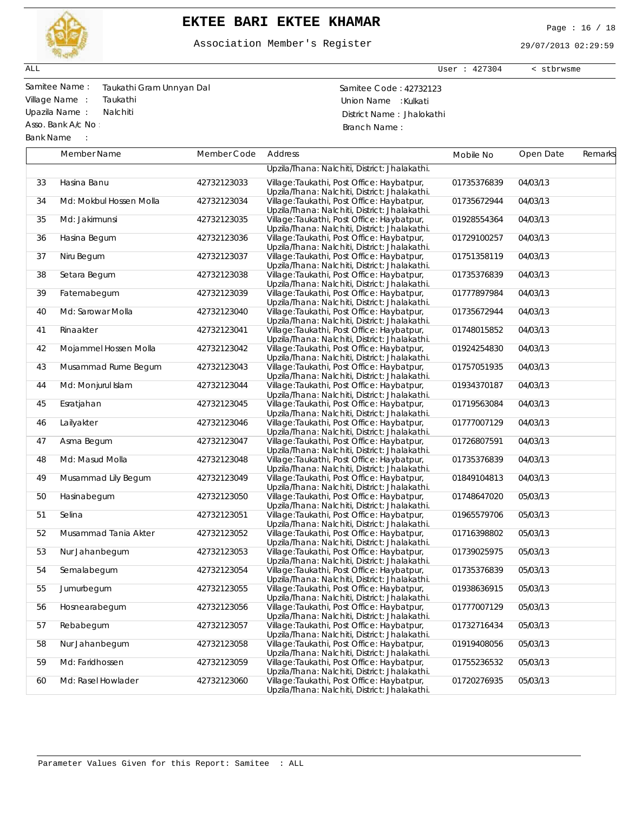

# **EKTEE BARI EKTEE KHAMAR** Page : 16 / 18

Association Member's Register

29/07/2013 02:29:59

User : 427304 < stbrwsme

ALL

 $\Gamma$ 

Asso. Bank A/c No :

Bank Name :

Samitee Name : Samitee Code : 42732123 Taukathi Gram Unnyan Dal Village Name : Taukathi Union Name : Kulkati Upazila Name : Nalchiti **District Name : Nalchiti** District Name : Jhalokathi Branch Name :

|    | Member Name             | Member Code | Address                                                                                     | Mobile No   | Open Date | Remarks |
|----|-------------------------|-------------|---------------------------------------------------------------------------------------------|-------------|-----------|---------|
|    |                         |             | Upzila/Thana: Nalchiti, District: Jhalakathi.                                               |             |           |         |
| 33 | Hasina Banu             | 42732123033 | Village:Taukathi, Post Office: Haybatpur,<br>Upzila/Thana: Nalchiti, District: Jhalakathi.  | 01735376839 | 04/03/13  |         |
| 34 | Md: Mokbul Hossen Molla | 42732123034 | Village:Taukathi, Post Office: Haybatpur,<br>Upzila/Thana: Nalchiti, District: Jhalakathi.  | 01735672944 | 04/03/13  |         |
| 35 | Md: Jakirmunsi          | 42732123035 | Village:Taukathi, Post Office: Haybatpur,<br>Upzila/Thana: Nalchiti, District: Jhalakathi.  | 01928554364 | 04/03/13  |         |
| 36 | Hasina Begum            | 42732123036 | Village: Taukathi, Post Office: Haybatpur,<br>Upzila/Thana: Nalchiti, District: Jhalakathi. | 01729100257 | 04/03/13  |         |
| 37 | Niru Begum              | 42732123037 | Village:Taukathi, Post Office: Haybatpur,<br>Upzila/Thana: Nalchiti, District: Jhalakathi.  | 01751358119 | 04/03/13  |         |
| 38 | Setara Begum            | 42732123038 | Village: Taukathi, Post Office: Haybatpur,<br>Upzila/Thana: Nalchiti, District: Jhalakathi. | 01735376839 | 04/03/13  |         |
| 39 | Fatemabegum             | 42732123039 | Village:Taukathi, Post Office: Haybatpur,<br>Upzila/Thana: Nalchiti, District: Jhalakathi.  | 01777897984 | 04/03/13  |         |
| 40 | Md: Sarowar Molla       | 42732123040 | Village: Taukathi, Post Office: Haybatpur,<br>Upzila/Thana: Nalchiti, District: Jhalakathi. | 01735672944 | 04/03/13  |         |
| 41 | Rinaakter               | 42732123041 | Village:Taukathi, Post Office: Haybatpur,<br>Upzila/Thana: Nalchiti, District: Jhalakathi.  | 01748015852 | 04/03/13  |         |
| 42 | Mojammel Hossen Molla   | 42732123042 | Village: Taukathi, Post Office: Haybatpur,<br>Upzila/Thana: Nalchiti, District: Jhalakathi. | 01924254830 | 04/03/13  |         |
| 43 | Musammad Rume Begum     | 42732123043 | Village: Taukathi, Post Office: Haybatpur,<br>Upzila/Thana: Nalchiti, District: Jhalakathi. | 01757051935 | 04/03/13  |         |
| 44 | Md: Monjurul Islam      | 42732123044 | Village:Taukathi, Post Office: Haybatpur,<br>Upzila/Thana: Nalchiti, District: Jhalakathi.  | 01934370187 | 04/03/13  |         |
| 45 | Esratjahan              | 42732123045 | Village: Taukathi, Post Office: Haybatpur,<br>Upzila/Thana: Nalchiti, District: Jhalakathi. | 01719563084 | 04/03/13  |         |
| 46 | Lailyakter              | 42732123046 | Village: Taukathi, Post Office: Haybatpur,<br>Upzila/Thana: Nalchiti, District: Jhalakathi. | 01777007129 | 04/03/13  |         |
| 47 | Asma Begum              | 42732123047 | Village:Taukathi, Post Office: Haybatpur,<br>Upzila/Thana: Nalchiti, District: Jhalakathi.  | 01726807591 | 04/03/13  |         |
| 48 | Md: Masud Molla         | 42732123048 | Village:Taukathi, Post Office: Haybatpur,<br>Upzila/Thana: Nalchiti, District: Jhalakathi.  | 01735376839 | 04/03/13  |         |
| 49 | Musammad Lily Begum     | 42732123049 | Village:Taukathi, Post Office: Haybatpur,<br>Upzila/Thana: Nalchiti, District: Jhalakathi.  | 01849104813 | 04/03/13  |         |
| 50 | Hasinabegum             | 42732123050 | Village:Taukathi, Post Office: Haybatpur,<br>Upzila/Thana: Nalchiti, District: Jhalakathi.  | 01748647020 | 05/03/13  |         |
| 51 | Selina                  | 42732123051 | Village:Taukathi, Post Office: Haybatpur,<br>Upzila/Thana: Nalchiti, District: Jhalakathi.  | 01965579706 | 05/03/13  |         |
| 52 | Musammad Tania Akter    | 42732123052 | Village:Taukathi, Post Office: Haybatpur,<br>Upzila/Thana: Nalchiti, District: Jhalakathi.  | 01716398802 | 05/03/13  |         |
| 53 | Nur Jahanbegum          | 42732123053 | Village:Taukathi, Post Office: Haybatpur,<br>Upzila/Thana: Nalchiti, District: Jhalakathi.  | 01739025975 | 05/03/13  |         |
| 54 | Semalabegum             | 42732123054 | Village:Taukathi, Post Office: Haybatpur,<br>Upzila/Thana: Nalchiti, District: Jhalakathi.  | 01735376839 | 05/03/13  |         |
| 55 | Jumurbegum              | 42732123055 | Village: Taukathi, Post Office: Haybatpur,<br>Upzila/Thana: Nalchiti, District: Jhalakathi. | 01938636915 | 05/03/13  |         |
| 56 | Hosnearabegum           | 42732123056 | Village:Taukathi, Post Office: Haybatpur,<br>Upzila/Thana: Nalchiti, District: Jhalakathi.  | 01777007129 | 05/03/13  |         |
| 57 | Rebabegum               | 42732123057 | Village:Taukathi, Post Office: Haybatpur,<br>Upzila/Thana: Nalchiti, District: Jhalakathi.  | 01732716434 | 05/03/13  |         |
| 58 | Nur Jahanbegum          | 42732123058 | Village:Taukathi, Post Office: Haybatpur,<br>Upzila/Thana: Nalchiti, District: Jhalakathi.  | 01919408056 | 05/03/13  |         |
| 59 | Md: Faridhossen         | 42732123059 | Village:Taukathi, Post Office: Haybatpur,<br>Upzila/Thana: Nalchiti, District: Jhalakathi.  | 01755236532 | 05/03/13  |         |
| 60 | Md: Rasel Howlader      | 42732123060 | Village:Taukathi, Post Office: Haybatpur,<br>Upzila/Thana: Nalchiti, District: Jhalakathi.  | 01720276935 | 05/03/13  |         |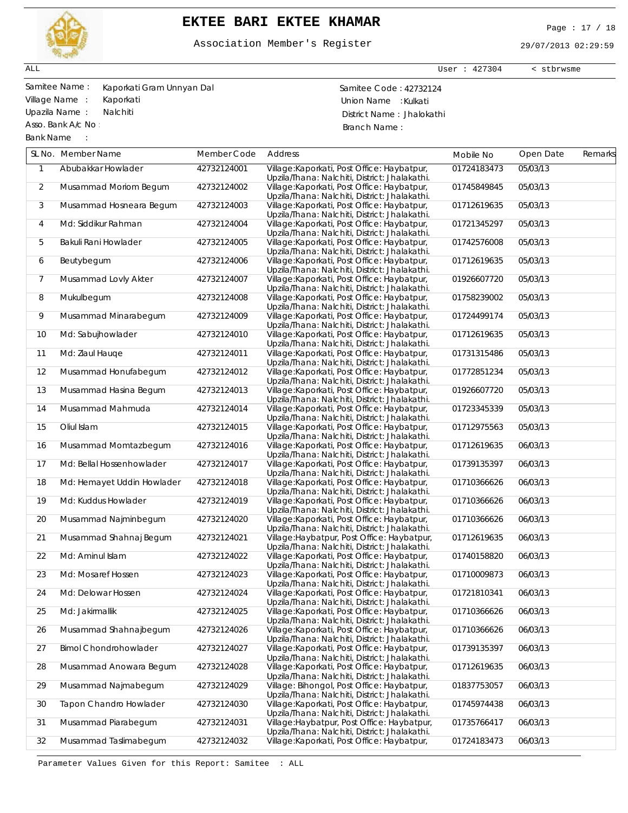

## **EKTEE BARI EKTEE KHAMAR** Page : 17 / 18

Association Member's Register

29/07/2013 02:29:59

User : 427304 < stbrwsme

ALL

Asso. Bank A/c No :

Bank Name :

Samitee Name : Samitee Code : 42732124 Kaporkati Gram Unnyan Dal Village Name : Kaporkati view was also assessed by the Union Name : Kulkati Upazila Name : Nalchiti **District Name : Nalchiti** District Name : Jhalokathi Branch Name :

|                | SL No. Member Name           | Member Code | Address                                                                                      | Mobile No   | Open Date | Remarks |
|----------------|------------------------------|-------------|----------------------------------------------------------------------------------------------|-------------|-----------|---------|
| $\mathbf{1}$   | Abubakkar Howlader           | 42732124001 | Village: Kaporkati, Post Office: Haybatpur,<br>Upzila/Thana: Nalchiti, District: Jhalakathi. | 01724183473 | 05/03/13  |         |
| $\overline{2}$ | Musammad Moriom Begum        | 42732124002 | Village: Kaporkati, Post Office: Haybatpur,<br>Upzila/Thana: Nalchiti, District: Jhalakathi. | 01745849845 | 05/03/13  |         |
| 3              | Musammad Hosneara Begum      | 42732124003 | Village: Kaporkati, Post Office: Haybatpur,<br>Upzila/Thana: Nalchiti, District: Jhalakathi. | 01712619635 | 05/03/13  |         |
| 4              | Md: Siddikur Rahman          | 42732124004 | Village: Kaporkati, Post Office: Haybatpur,<br>Upzila/Thana: Nalchiti, District: Jhalakathi. | 01721345297 | 05/03/13  |         |
| 5              | Bakuli Rani Howlader         | 42732124005 | Village: Kaporkati, Post Office: Haybatpur,<br>Upzila/Thana: Nalchiti, District: Jhalakathi. | 01742576008 | 05/03/13  |         |
| 6              | Beutybegum                   | 42732124006 | Village: Kaporkati, Post Office: Haybatpur,<br>Upzila/Thana: Nalchiti, District: Jhalakathi. | 01712619635 | 05/03/13  |         |
| 7              | Musammad Lovly Akter         | 42732124007 | Village: Kaporkati, Post Office: Haybatpur,<br>Upzila/Thana: Nalchiti, District: Jhalakathi. | 01926607720 | 05/03/13  |         |
| 8              | Mukulbegum                   | 42732124008 | Village: Kaporkati, Post Office: Haybatpur,<br>Upzila/Thana: Nalchiti, District: Jhalakathi. | 01758239002 | 05/03/13  |         |
| 9              | Musammad Minarabegum         | 42732124009 | Village: Kaporkati, Post Office: Haybatpur,<br>Upzila/Thana: Nalchiti, District: Jhalakathi. | 01724499174 | 05/03/13  |         |
| 10             | Md: Sabujhowlader            | 42732124010 | Village: Kaporkati, Post Office: Haybatpur,<br>Upzila/Thana: Nalchiti, District: Jhalakathi. | 01712619635 | 05/03/13  |         |
| 11             | Md: Ziaul Hauge              | 42732124011 | Village: Kaporkati, Post Office: Haybatpur,<br>Upzila/Thana: Nalchiti, District: Jhalakathi. | 01731315486 | 05/03/13  |         |
| 12             | Musammad Honufabegum         | 42732124012 | Village: Kaporkati, Post Office: Haybatpur,<br>Upzila/Thana: Nalchiti, District: Jhalakathi. | 01772851234 | 05/03/13  |         |
| 13             | Musammad Hasina Begum        | 42732124013 | Village: Kaporkati, Post Office: Haybatpur,<br>Upzila/Thana: Nalchiti, District: Jhalakathi. | 01926607720 | 05/03/13  |         |
| 14             | Musammad Mahmuda             | 42732124014 | Village: Kaporkati, Post Office: Haybatpur,<br>Upzila/Thana: Nalchiti, District: Jhalakathi. | 01723345339 | 05/03/13  |         |
| 15             | Oliul Islam                  | 42732124015 | Village: Kaporkati, Post Office: Haybatpur,<br>Upzila/Thana: Nalchiti, District: Jhalakathi. | 01712975563 | 05/03/13  |         |
| 16             | Musammad Momtazbegum         | 42732124016 | Village: Kaporkati, Post Office: Haybatpur,<br>Upzila/Thana: Nalchiti, District: Jhalakathi. | 01712619635 | 06/03/13  |         |
| 17             | Md: Bellal Hossenhowlader    | 42732124017 | Village: Kaporkati, Post Office: Haybatpur,<br>Upzila/Thana: Nalchiti, District: Jhalakathi. | 01739135397 | 06/03/13  |         |
| 18             | Md: Hemayet Uddin Howlader   | 42732124018 | Village: Kaporkati, Post Office: Haybatpur,<br>Upzila/Thana: Nalchiti, District: Jhalakathi. | 01710366626 | 06/03/13  |         |
| 19             | Md: Kuddus Howlader          | 42732124019 | Village: Kaporkati, Post Office: Haybatpur,<br>Upzila/Thana: Nalchiti, District: Jhalakathi. | 01710366626 | 06/03/13  |         |
| 20             | Musammad Najminbegum         | 42732124020 | Village: Kaporkati, Post Office: Haybatpur,<br>Upzila/Thana: Nalchiti, District: Jhalakathi. | 01710366626 | 06/03/13  |         |
| 21             | Musammad Shahnaj Begum       | 42732124021 | Village: Haybatpur, Post Office: Haybatpur,<br>Upzila/Thana: Nalchiti, District: Jhalakathi. | 01712619635 | 06/03/13  |         |
| 22             | Md: Aminul Islam             | 42732124022 | Village: Kaporkati, Post Office: Haybatpur,<br>Upzila/Thana: Nalchiti, District: Jhalakathi. | 01740158820 | 06/03/13  |         |
| 23             | Md: Mosaref Hossen           | 42732124023 | Village: Kaporkati, Post Office: Haybatpur,<br>Upzila/Thana: Nalchiti, District: Jhalakathi. | 01710009873 | 06/03/13  |         |
| 24             | Md: Delowar Hossen           | 42732124024 | Village: Kaporkati, Post Office: Haybatpur,<br>Upzila/Thana: Nalchiti, District: Jhalakathi. | 01721810341 | 06/03/13  |         |
| 25             | Md: Jakirmallik              | 42732124025 | Village: Kaporkati, Post Office: Haybatpur,<br>Upzila/Thana: Nalchiti, District: Jhalakathi. | 01710366626 | 06/03/13  |         |
| 26             | Musammad Shahnajbegum        | 42732124026 | Village: Kaporkati, Post Office: Haybatpur,<br>Upzila/Thana: Nalchiti, District: Jhalakathi. | 01710366626 | 06/03/13  |         |
| 27             | <b>Bimol Chondrohowlader</b> | 42732124027 | Village: Kaporkati, Post Office: Haybatpur,<br>Upzila/Thana: Nalchiti, District: Jhalakathi. | 01739135397 | 06/03/13  |         |
| 28             | Musammad Anowara Begum       | 42732124028 | Village: Kaporkati, Post Office: Haybatpur,<br>Upzila/Thana: Nalchiti, District: Jhalakathi. | 01712619635 | 06/03/13  |         |
| 29             | Musammad Najmabegum          | 42732124029 | Village: Bihongol, Post Office: Haybatpur,<br>Upzila/Thana: Nalchiti, District: Jhalakathi.  | 01837753057 | 06/03/13  |         |
| 30             | Tapon Chandro Howlader       | 42732124030 | Village: Kaporkati, Post Office: Haybatpur,<br>Upzila/Thana: Nalchiti, District: Jhalakathi. | 01745974438 | 06/03/13  |         |
| 31             | Musammad Piarabegum          | 42732124031 | Village: Haybatpur, Post Office: Haybatpur,<br>Upzila/Thana: Nalchiti, District: Jhalakathi. | 01735766417 | 06/03/13  |         |
| 32             | Musammad Taslimabegum        | 42732124032 | Village: Kaporkati, Post Office: Haybatpur,                                                  | 01724183473 | 06/03/13  |         |